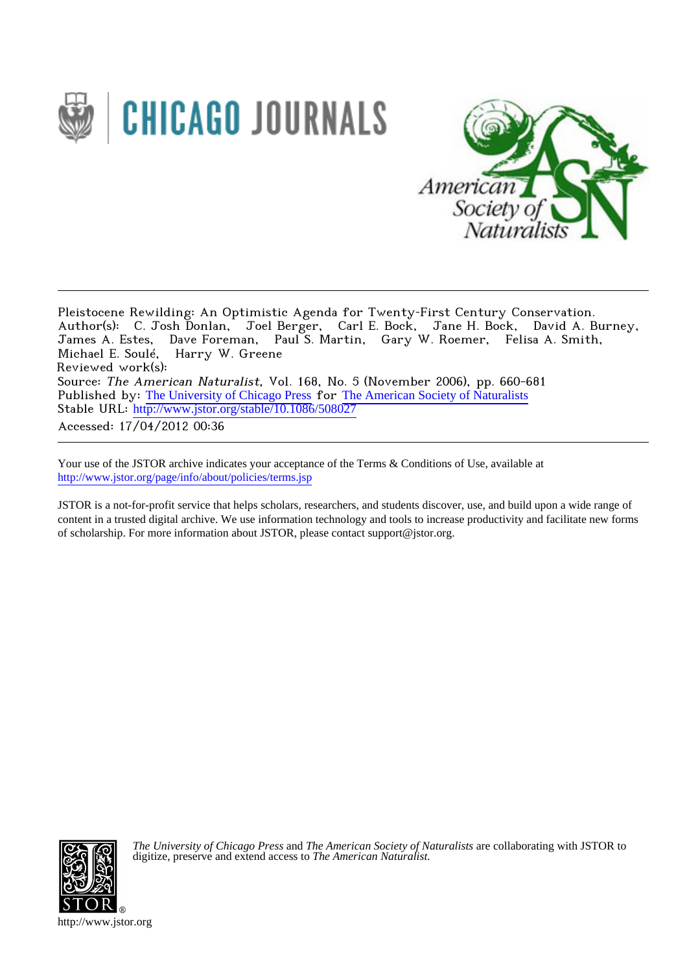



Pleistocene Rewilding: An Optimistic Agenda for Twenty‐First Century Conservation. Author(s): C. Josh Donlan, Joel Berger, Carl E. Bock, Jane H. Bock, David A. Burney, James A. Estes, Dave Foreman, Paul S. Martin, Gary W. Roemer, Felisa A. Smith, Michael E. Soulé, Harry W. Greene Reviewed work(s): Source: The American Naturalist, Vol. 168, No. 5 (November 2006), pp. 660-681 Published by: [The University of Chicago Press](http://www.jstor.org/action/showPublisher?publisherCode=ucpress) for [The American Society of Naturalists](http://www.jstor.org/action/showPublisher?publisherCode=amsocnat) Stable URL: http://www.jstor.org/stable/10.1086/508027 Accessed: 17/04/2012 00:36

Your use of the JSTOR archive indicates your acceptance of the Terms & Conditions of Use, available at <http://www.jstor.org/page/info/about/policies/terms.jsp>

JSTOR is a not-for-profit service that helps scholars, researchers, and students discover, use, and build upon a wide range of content in a trusted digital archive. We use information technology and tools to increase productivity and facilitate new forms of scholarship. For more information about JSTOR, please contact support@jstor.org.



*The University of Chicago Press* and *The American Society of Naturalists* are collaborating with JSTOR to digitize, preserve and extend access to *The American Naturalist.*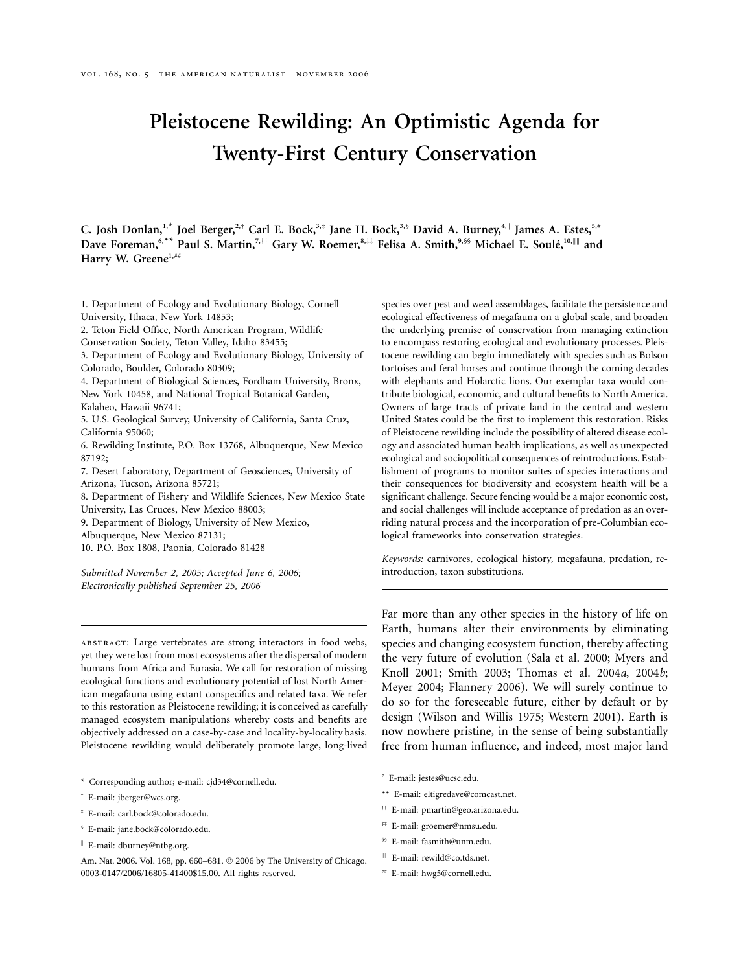# **Pleistocene Rewilding: An Optimistic Agenda for Twenty-First Century Conservation**

**C. Josh Donlan,1,**\* **Joel Berger,2,**† **Carl E. Bock,3,**‡ **Jane H. Bock,3,**§ **David A. Burney,4,**<sup>k</sup> **James A. Estes,5,**# **Dave Foreman,**  $6^{**}$  **Paul S. Martin**,<sup> $7,1† Gary W. Roemer,<sup>8,‡‡</sup> Felisa A. Smith,<sup>9,§§</sup> Michael E. Soulé,<sup>10,|||</sup> and$ Harry W. Greene<sup>1,##</sup>

1. Department of Ecology and Evolutionary Biology, Cornell University, Ithaca, New York 14853;

2. Teton Field Office, North American Program, Wildlife

Conservation Society, Teton Valley, Idaho 83455;

3. Department of Ecology and Evolutionary Biology, University of Colorado, Boulder, Colorado 80309;

4. Department of Biological Sciences, Fordham University, Bronx, New York 10458, and National Tropical Botanical Garden, Kalaheo, Hawaii 96741;

5. U.S. Geological Survey, University of California, Santa Cruz, California 95060;

6. Rewilding Institute, P.O. Box 13768, Albuquerque, New Mexico 87192;

7. Desert Laboratory, Department of Geosciences, University of Arizona, Tucson, Arizona 85721;

8. Department of Fishery and Wildlife Sciences, New Mexico State University, Las Cruces, New Mexico 88003;

9. Department of Biology, University of New Mexico, Albuquerque, New Mexico 87131;

10. P.O. Box 1808, Paonia, Colorado 81428

*Submitted November 2, 2005; Accepted June 6, 2006; Electronically published September 25, 2006*

abstract: Large vertebrates are strong interactors in food webs, yet they were lost from most ecosystems after the dispersal of modern humans from Africa and Eurasia. We call for restoration of missing ecological functions and evolutionary potential of lost North American megafauna using extant conspecifics and related taxa. We refer to this restoration as Pleistocene rewilding; it is conceived as carefully managed ecosystem manipulations whereby costs and benefits are objectively addressed on a case-by-case and locality-by-locality basis. Pleistocene rewilding would deliberately promote large, long-lived

- \* Corresponding author; e-mail: cjd34@cornell.edu.
- † E-mail: jberger@wcs.org.
- ‡ E-mail: carl.bock@colorado.edu.
- § E-mail: jane.bock@colorado.edu.
- <sup>k</sup> E-mail: dburney@ntbg.org.

Am. Nat. 2006. Vol. 168, pp. 660–681. © 2006 by The University of Chicago. 0003-0147/2006/16805-41400\$15.00. All rights reserved.

species over pest and weed assemblages, facilitate the persistence and ecological effectiveness of megafauna on a global scale, and broaden the underlying premise of conservation from managing extinction to encompass restoring ecological and evolutionary processes. Pleistocene rewilding can begin immediately with species such as Bolson tortoises and feral horses and continue through the coming decades with elephants and Holarctic lions. Our exemplar taxa would contribute biological, economic, and cultural benefits to North America. Owners of large tracts of private land in the central and western United States could be the first to implement this restoration. Risks of Pleistocene rewilding include the possibility of altered disease ecology and associated human health implications, as well as unexpected ecological and sociopolitical consequences of reintroductions. Establishment of programs to monitor suites of species interactions and their consequences for biodiversity and ecosystem health will be a significant challenge. Secure fencing would be a major economic cost, and social challenges will include acceptance of predation as an overriding natural process and the incorporation of pre-Columbian ecological frameworks into conservation strategies.

*Keywords:* carnivores, ecological history, megafauna, predation, reintroduction, taxon substitutions.

Far more than any other species in the history of life on Earth, humans alter their environments by eliminating species and changing ecosystem function, thereby affecting the very future of evolution (Sala et al. 2000; Myers and Knoll 2001; Smith 2003; Thomas et al. 2004*a*, 2004*b*; Meyer 2004; Flannery 2006). We will surely continue to do so for the foreseeable future, either by default or by design (Wilson and Willis 1975; Western 2001). Earth is now nowhere pristine, in the sense of being substantially free from human influence, and indeed, most major land

- # E-mail: jestes@ucsc.edu.
- \*\* E-mail: eltigredave@comcast.net.
- †† E-mail: pmartin@geo.arizona.edu.
- ‡‡ E-mail: groemer@nmsu.edu.
- §§ E-mail: fasmith@unm.edu.
- $\mathbb H$  E-mail: rewild@co.tds.net.
- ## E-mail: hwg5@cornell.edu.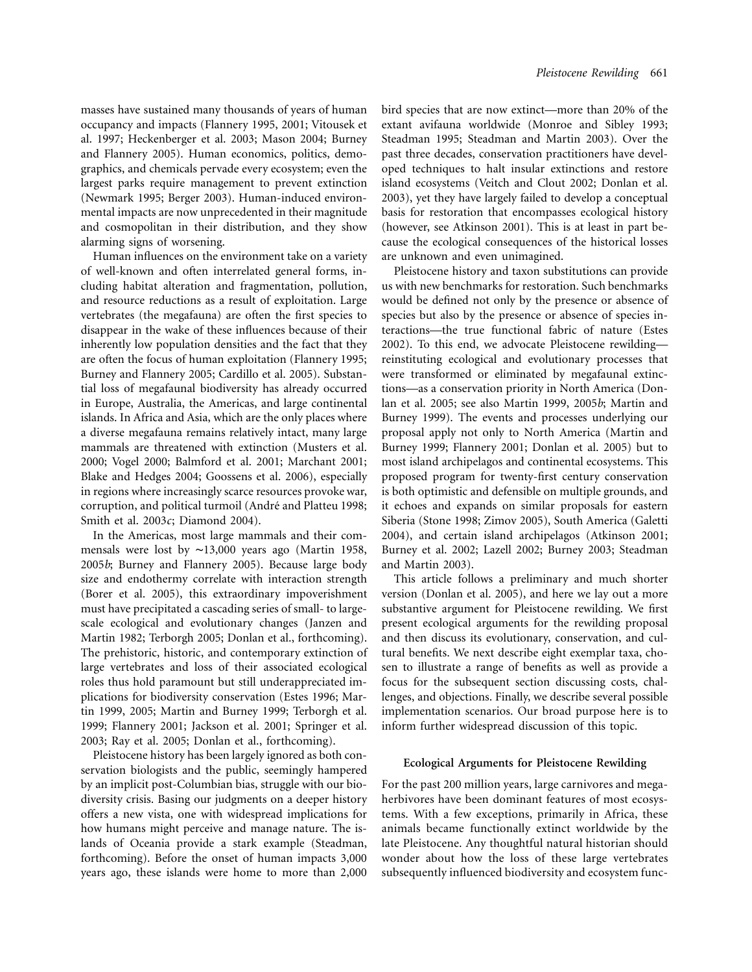masses have sustained many thousands of years of human occupancy and impacts (Flannery 1995, 2001; Vitousek et al. 1997; Heckenberger et al. 2003; Mason 2004; Burney and Flannery 2005). Human economics, politics, demographics, and chemicals pervade every ecosystem; even the largest parks require management to prevent extinction (Newmark 1995; Berger 2003). Human-induced environmental impacts are now unprecedented in their magnitude and cosmopolitan in their distribution, and they show alarming signs of worsening.

Human influences on the environment take on a variety of well-known and often interrelated general forms, including habitat alteration and fragmentation, pollution, and resource reductions as a result of exploitation. Large vertebrates (the megafauna) are often the first species to disappear in the wake of these influences because of their inherently low population densities and the fact that they are often the focus of human exploitation (Flannery 1995; Burney and Flannery 2005; Cardillo et al. 2005). Substantial loss of megafaunal biodiversity has already occurred in Europe, Australia, the Americas, and large continental islands. In Africa and Asia, which are the only places where a diverse megafauna remains relatively intact, many large mammals are threatened with extinction (Musters et al. 2000; Vogel 2000; Balmford et al. 2001; Marchant 2001; Blake and Hedges 2004; Goossens et al. 2006), especially in regions where increasingly scarce resources provoke war, corruption, and political turmoil (André and Platteu 1998; Smith et al. 2003*c*; Diamond 2004).

In the Americas, most large mammals and their commensals were lost by ∼13,000 years ago (Martin 1958, 2005*b*; Burney and Flannery 2005). Because large body size and endothermy correlate with interaction strength (Borer et al. 2005), this extraordinary impoverishment must have precipitated a cascading series of small- to largescale ecological and evolutionary changes (Janzen and Martin 1982; Terborgh 2005; Donlan et al., forthcoming). The prehistoric, historic, and contemporary extinction of large vertebrates and loss of their associated ecological roles thus hold paramount but still underappreciated implications for biodiversity conservation (Estes 1996; Martin 1999, 2005; Martin and Burney 1999; Terborgh et al. 1999; Flannery 2001; Jackson et al. 2001; Springer et al. 2003; Ray et al. 2005; Donlan et al., forthcoming).

Pleistocene history has been largely ignored as both conservation biologists and the public, seemingly hampered by an implicit post-Columbian bias, struggle with our biodiversity crisis. Basing our judgments on a deeper history offers a new vista, one with widespread implications for how humans might perceive and manage nature. The islands of Oceania provide a stark example (Steadman, forthcoming). Before the onset of human impacts 3,000 years ago, these islands were home to more than 2,000 bird species that are now extinct—more than 20% of the extant avifauna worldwide (Monroe and Sibley 1993; Steadman 1995; Steadman and Martin 2003). Over the past three decades, conservation practitioners have developed techniques to halt insular extinctions and restore island ecosystems (Veitch and Clout 2002; Donlan et al. 2003), yet they have largely failed to develop a conceptual basis for restoration that encompasses ecological history (however, see Atkinson 2001). This is at least in part because the ecological consequences of the historical losses are unknown and even unimagined.

Pleistocene history and taxon substitutions can provide us with new benchmarks for restoration. Such benchmarks would be defined not only by the presence or absence of species but also by the presence or absence of species interactions—the true functional fabric of nature (Estes 2002). To this end, we advocate Pleistocene rewilding reinstituting ecological and evolutionary processes that were transformed or eliminated by megafaunal extinctions—as a conservation priority in North America (Donlan et al. 2005; see also Martin 1999, 2005*b*; Martin and Burney 1999). The events and processes underlying our proposal apply not only to North America (Martin and Burney 1999; Flannery 2001; Donlan et al. 2005) but to most island archipelagos and continental ecosystems. This proposed program for twenty-first century conservation is both optimistic and defensible on multiple grounds, and it echoes and expands on similar proposals for eastern Siberia (Stone 1998; Zimov 2005), South America (Galetti 2004), and certain island archipelagos (Atkinson 2001; Burney et al. 2002; Lazell 2002; Burney 2003; Steadman and Martin 2003).

This article follows a preliminary and much shorter version (Donlan et al. 2005), and here we lay out a more substantive argument for Pleistocene rewilding. We first present ecological arguments for the rewilding proposal and then discuss its evolutionary, conservation, and cultural benefits. We next describe eight exemplar taxa, chosen to illustrate a range of benefits as well as provide a focus for the subsequent section discussing costs, challenges, and objections. Finally, we describe several possible implementation scenarios. Our broad purpose here is to inform further widespread discussion of this topic.

## **Ecological Arguments for Pleistocene Rewilding**

For the past 200 million years, large carnivores and megaherbivores have been dominant features of most ecosystems. With a few exceptions, primarily in Africa, these animals became functionally extinct worldwide by the late Pleistocene. Any thoughtful natural historian should wonder about how the loss of these large vertebrates subsequently influenced biodiversity and ecosystem func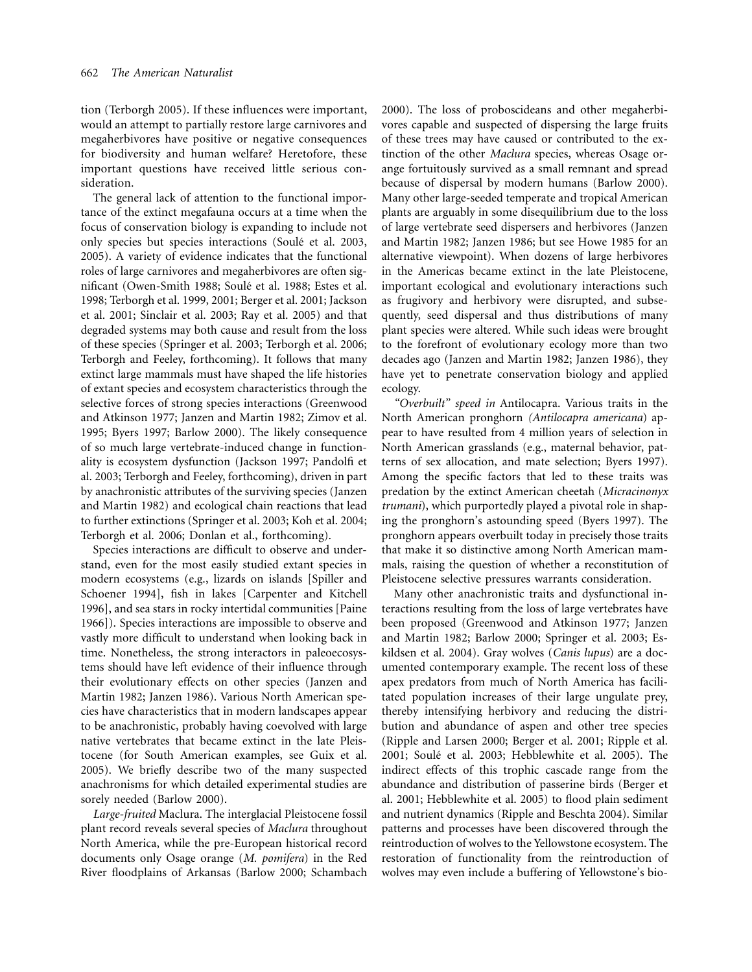tion (Terborgh 2005). If these influences were important, would an attempt to partially restore large carnivores and megaherbivores have positive or negative consequences for biodiversity and human welfare? Heretofore, these important questions have received little serious consideration.

The general lack of attention to the functional importance of the extinct megafauna occurs at a time when the focus of conservation biology is expanding to include not only species but species interactions (Soule´ et al. 2003, 2005). A variety of evidence indicates that the functional roles of large carnivores and megaherbivores are often significant (Owen-Smith 1988; Soulé et al. 1988; Estes et al. 1998; Terborgh et al. 1999, 2001; Berger et al. 2001; Jackson et al. 2001; Sinclair et al. 2003; Ray et al. 2005) and that degraded systems may both cause and result from the loss of these species (Springer et al. 2003; Terborgh et al. 2006; Terborgh and Feeley, forthcoming). It follows that many extinct large mammals must have shaped the life histories of extant species and ecosystem characteristics through the selective forces of strong species interactions (Greenwood and Atkinson 1977; Janzen and Martin 1982; Zimov et al. 1995; Byers 1997; Barlow 2000). The likely consequence of so much large vertebrate-induced change in functionality is ecosystem dysfunction (Jackson 1997; Pandolfi et al. 2003; Terborgh and Feeley, forthcoming), driven in part by anachronistic attributes of the surviving species (Janzen and Martin 1982) and ecological chain reactions that lead to further extinctions (Springer et al. 2003; Koh et al. 2004; Terborgh et al. 2006; Donlan et al., forthcoming).

Species interactions are difficult to observe and understand, even for the most easily studied extant species in modern ecosystems (e.g., lizards on islands [Spiller and Schoener 1994], fish in lakes [Carpenter and Kitchell 1996], and sea stars in rocky intertidal communities [Paine 1966]). Species interactions are impossible to observe and vastly more difficult to understand when looking back in time. Nonetheless, the strong interactors in paleoecosystems should have left evidence of their influence through their evolutionary effects on other species (Janzen and Martin 1982; Janzen 1986). Various North American species have characteristics that in modern landscapes appear to be anachronistic, probably having coevolved with large native vertebrates that became extinct in the late Pleistocene (for South American examples, see Guix et al. 2005). We briefly describe two of the many suspected anachronisms for which detailed experimental studies are sorely needed (Barlow 2000).

*Large-fruited* Maclura. The interglacial Pleistocene fossil plant record reveals several species of *Maclura* throughout North America, while the pre-European historical record documents only Osage orange (*M. pomifera*) in the Red River floodplains of Arkansas (Barlow 2000; Schambach

2000). The loss of proboscideans and other megaherbivores capable and suspected of dispersing the large fruits of these trees may have caused or contributed to the extinction of the other *Maclura* species, whereas Osage orange fortuitously survived as a small remnant and spread because of dispersal by modern humans (Barlow 2000). Many other large-seeded temperate and tropical American plants are arguably in some disequilibrium due to the loss of large vertebrate seed dispersers and herbivores (Janzen and Martin 1982; Janzen 1986; but see Howe 1985 for an alternative viewpoint). When dozens of large herbivores in the Americas became extinct in the late Pleistocene, important ecological and evolutionary interactions such as frugivory and herbivory were disrupted, and subsequently, seed dispersal and thus distributions of many plant species were altered. While such ideas were brought to the forefront of evolutionary ecology more than two decades ago (Janzen and Martin 1982; Janzen 1986), they have yet to penetrate conservation biology and applied ecology.

*"Overbuilt" speed in* Antilocapra. Various traits in the North American pronghorn *(Antilocapra americana*) appear to have resulted from 4 million years of selection in North American grasslands (e.g., maternal behavior, patterns of sex allocation, and mate selection; Byers 1997). Among the specific factors that led to these traits was predation by the extinct American cheetah (*Micracinonyx trumani*), which purportedly played a pivotal role in shaping the pronghorn's astounding speed (Byers 1997). The pronghorn appears overbuilt today in precisely those traits that make it so distinctive among North American mammals, raising the question of whether a reconstitution of Pleistocene selective pressures warrants consideration.

Many other anachronistic traits and dysfunctional interactions resulting from the loss of large vertebrates have been proposed (Greenwood and Atkinson 1977; Janzen and Martin 1982; Barlow 2000; Springer et al. 2003; Eskildsen et al. 2004). Gray wolves (*Canis lupus*) are a documented contemporary example. The recent loss of these apex predators from much of North America has facilitated population increases of their large ungulate prey, thereby intensifying herbivory and reducing the distribution and abundance of aspen and other tree species (Ripple and Larsen 2000; Berger et al. 2001; Ripple et al. 2001; Soulé et al. 2003; Hebblewhite et al. 2005). The indirect effects of this trophic cascade range from the abundance and distribution of passerine birds (Berger et al. 2001; Hebblewhite et al. 2005) to flood plain sediment and nutrient dynamics (Ripple and Beschta 2004). Similar patterns and processes have been discovered through the reintroduction of wolves to the Yellowstone ecosystem. The restoration of functionality from the reintroduction of wolves may even include a buffering of Yellowstone's bio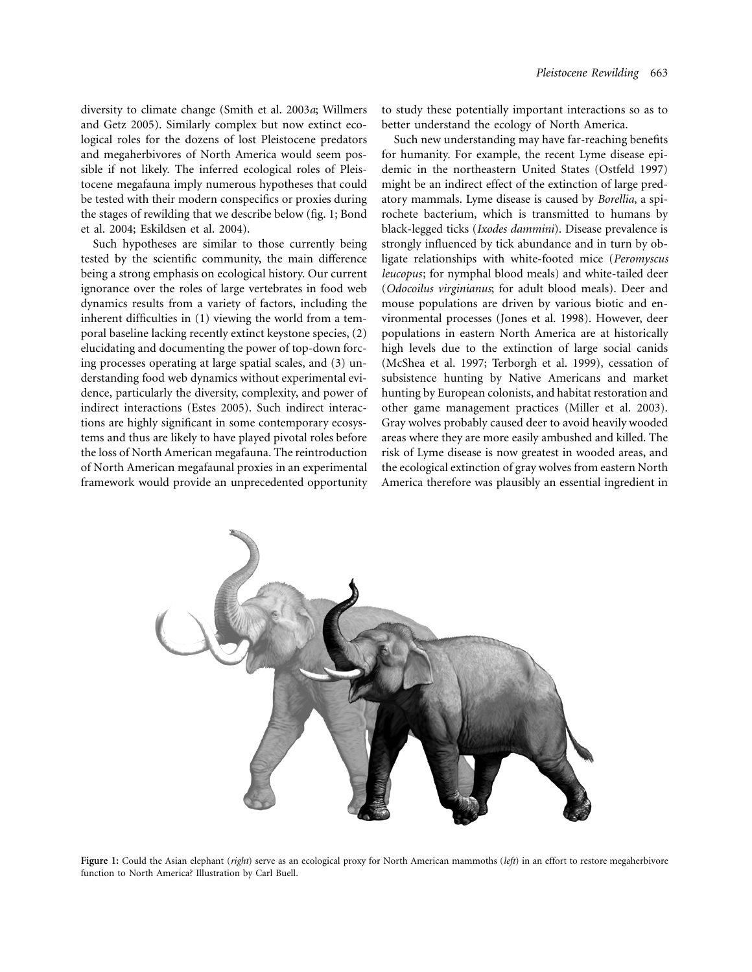diversity to climate change (Smith et al. 2003*a*; Willmers and Getz 2005). Similarly complex but now extinct ecological roles for the dozens of lost Pleistocene predators and megaherbivores of North America would seem possible if not likely. The inferred ecological roles of Pleistocene megafauna imply numerous hypotheses that could be tested with their modern conspecifics or proxies during the stages of rewilding that we describe below (fig. 1; Bond et al. 2004; Eskildsen et al. 2004).

Such hypotheses are similar to those currently being tested by the scientific community, the main difference being a strong emphasis on ecological history. Our current ignorance over the roles of large vertebrates in food web dynamics results from a variety of factors, including the inherent difficulties in (1) viewing the world from a temporal baseline lacking recently extinct keystone species, (2) elucidating and documenting the power of top-down forcing processes operating at large spatial scales, and (3) understanding food web dynamics without experimental evidence, particularly the diversity, complexity, and power of indirect interactions (Estes 2005). Such indirect interactions are highly significant in some contemporary ecosystems and thus are likely to have played pivotal roles before the loss of North American megafauna. The reintroduction of North American megafaunal proxies in an experimental framework would provide an unprecedented opportunity

to study these potentially important interactions so as to better understand the ecology of North America.

Such new understanding may have far-reaching benefits for humanity. For example, the recent Lyme disease epidemic in the northeastern United States (Ostfeld 1997) might be an indirect effect of the extinction of large predatory mammals. Lyme disease is caused by *Borellia*, a spirochete bacterium, which is transmitted to humans by black-legged ticks (*Ixodes dammini*). Disease prevalence is strongly influenced by tick abundance and in turn by obligate relationships with white-footed mice (*Peromyscus leucopus*; for nymphal blood meals) and white-tailed deer (*Odocoilus virginianus*; for adult blood meals). Deer and mouse populations are driven by various biotic and environmental processes (Jones et al. 1998). However, deer populations in eastern North America are at historically high levels due to the extinction of large social canids (McShea et al. 1997; Terborgh et al. 1999), cessation of subsistence hunting by Native Americans and market hunting by European colonists, and habitat restoration and other game management practices (Miller et al. 2003). Gray wolves probably caused deer to avoid heavily wooded areas where they are more easily ambushed and killed. The risk of Lyme disease is now greatest in wooded areas, and the ecological extinction of gray wolves from eastern North America therefore was plausibly an essential ingredient in



**Figure 1:** Could the Asian elephant (*right*) serve as an ecological proxy for North American mammoths (*left*) in an effort to restore megaherbivore function to North America? Illustration by Carl Buell.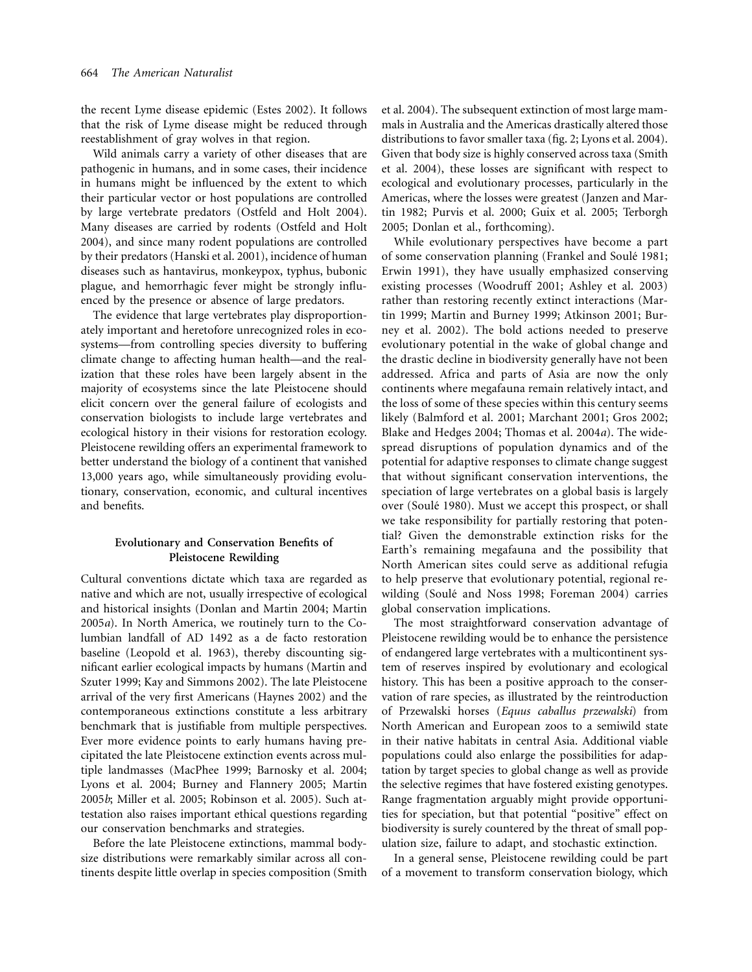the recent Lyme disease epidemic (Estes 2002). It follows that the risk of Lyme disease might be reduced through reestablishment of gray wolves in that region.

Wild animals carry a variety of other diseases that are pathogenic in humans, and in some cases, their incidence in humans might be influenced by the extent to which their particular vector or host populations are controlled by large vertebrate predators (Ostfeld and Holt 2004). Many diseases are carried by rodents (Ostfeld and Holt 2004), and since many rodent populations are controlled by their predators (Hanski et al. 2001), incidence of human diseases such as hantavirus, monkeypox, typhus, bubonic plague, and hemorrhagic fever might be strongly influenced by the presence or absence of large predators.

The evidence that large vertebrates play disproportionately important and heretofore unrecognized roles in ecosystems—from controlling species diversity to buffering climate change to affecting human health—and the realization that these roles have been largely absent in the majority of ecosystems since the late Pleistocene should elicit concern over the general failure of ecologists and conservation biologists to include large vertebrates and ecological history in their visions for restoration ecology. Pleistocene rewilding offers an experimental framework to better understand the biology of a continent that vanished 13,000 years ago, while simultaneously providing evolutionary, conservation, economic, and cultural incentives and benefits.

# **Evolutionary and Conservation Benefits of Pleistocene Rewilding**

Cultural conventions dictate which taxa are regarded as native and which are not, usually irrespective of ecological and historical insights (Donlan and Martin 2004; Martin 2005*a*). In North America, we routinely turn to the Columbian landfall of AD 1492 as a de facto restoration baseline (Leopold et al. 1963), thereby discounting significant earlier ecological impacts by humans (Martin and Szuter 1999; Kay and Simmons 2002). The late Pleistocene arrival of the very first Americans (Haynes 2002) and the contemporaneous extinctions constitute a less arbitrary benchmark that is justifiable from multiple perspectives. Ever more evidence points to early humans having precipitated the late Pleistocene extinction events across multiple landmasses (MacPhee 1999; Barnosky et al. 2004; Lyons et al. 2004; Burney and Flannery 2005; Martin 2005*b*; Miller et al. 2005; Robinson et al. 2005). Such attestation also raises important ethical questions regarding our conservation benchmarks and strategies.

Before the late Pleistocene extinctions, mammal bodysize distributions were remarkably similar across all continents despite little overlap in species composition (Smith et al. 2004). The subsequent extinction of most large mammals in Australia and the Americas drastically altered those distributions to favor smaller taxa (fig. 2; Lyons et al. 2004). Given that body size is highly conserved across taxa (Smith et al. 2004), these losses are significant with respect to ecological and evolutionary processes, particularly in the Americas, where the losses were greatest (Janzen and Martin 1982; Purvis et al. 2000; Guix et al. 2005; Terborgh 2005; Donlan et al., forthcoming).

While evolutionary perspectives have become a part of some conservation planning (Frankel and Soulé 1981; Erwin 1991), they have usually emphasized conserving existing processes (Woodruff 2001; Ashley et al. 2003) rather than restoring recently extinct interactions (Martin 1999; Martin and Burney 1999; Atkinson 2001; Burney et al. 2002). The bold actions needed to preserve evolutionary potential in the wake of global change and the drastic decline in biodiversity generally have not been addressed. Africa and parts of Asia are now the only continents where megafauna remain relatively intact, and the loss of some of these species within this century seems likely (Balmford et al. 2001; Marchant 2001; Gros 2002; Blake and Hedges 2004; Thomas et al. 2004*a*). The widespread disruptions of population dynamics and of the potential for adaptive responses to climate change suggest that without significant conservation interventions, the speciation of large vertebrates on a global basis is largely over (Soulé 1980). Must we accept this prospect, or shall we take responsibility for partially restoring that potential? Given the demonstrable extinction risks for the Earth's remaining megafauna and the possibility that North American sites could serve as additional refugia to help preserve that evolutionary potential, regional rewilding (Soulé and Noss 1998; Foreman 2004) carries global conservation implications.

The most straightforward conservation advantage of Pleistocene rewilding would be to enhance the persistence of endangered large vertebrates with a multicontinent system of reserves inspired by evolutionary and ecological history. This has been a positive approach to the conservation of rare species, as illustrated by the reintroduction of Przewalski horses (*Equus caballus przewalski*) from North American and European zoos to a semiwild state in their native habitats in central Asia. Additional viable populations could also enlarge the possibilities for adaptation by target species to global change as well as provide the selective regimes that have fostered existing genotypes. Range fragmentation arguably might provide opportunities for speciation, but that potential "positive" effect on biodiversity is surely countered by the threat of small population size, failure to adapt, and stochastic extinction.

In a general sense, Pleistocene rewilding could be part of a movement to transform conservation biology, which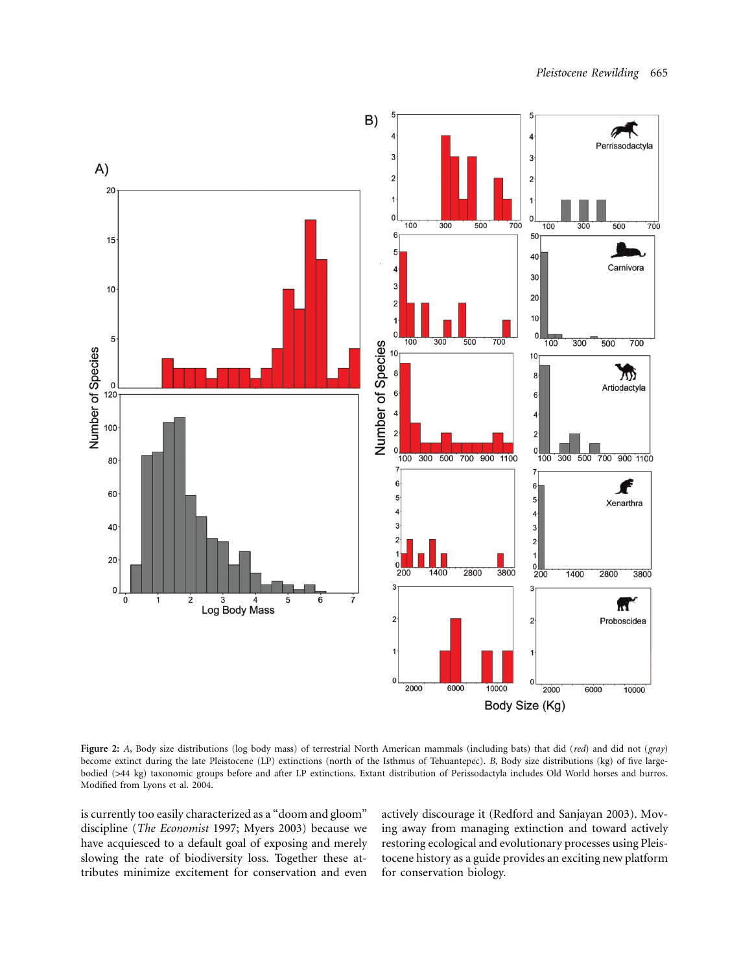

**Figure 2:** *A*, Body size distributions (log body mass) of terrestrial North American mammals (including bats) that did (*red*) and did not (*gray*) become extinct during the late Pleistocene (LP) extinctions (north of the Isthmus of Tehuantepec). *B*, Body size distributions (kg) of five largebodied (144 kg) taxonomic groups before and after LP extinctions. Extant distribution of Perissodactyla includes Old World horses and burros. Modified from Lyons et al. 2004.

is currently too easily characterized as a "doom and gloom" discipline (*The Economist* 1997; Myers 2003) because we have acquiesced to a default goal of exposing and merely slowing the rate of biodiversity loss. Together these attributes minimize excitement for conservation and even actively discourage it (Redford and Sanjayan 2003). Moving away from managing extinction and toward actively restoring ecological and evolutionary processes using Pleistocene history as a guide provides an exciting new platform for conservation biology.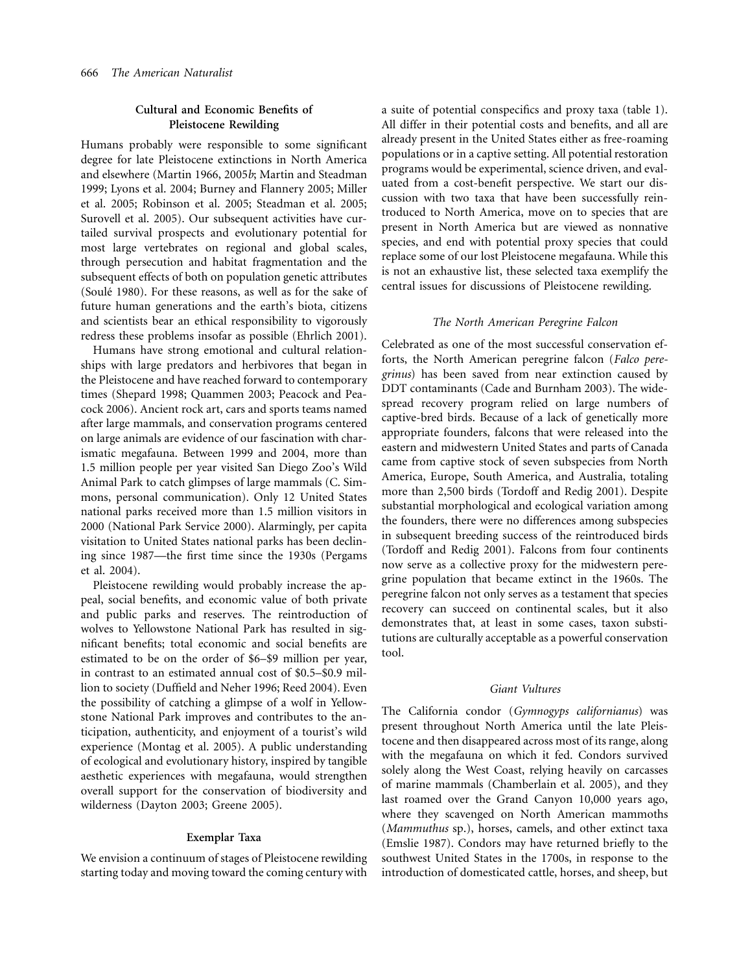# **Cultural and Economic Benefits of Pleistocene Rewilding**

Humans probably were responsible to some significant degree for late Pleistocene extinctions in North America and elsewhere (Martin 1966, 2005*b*; Martin and Steadman 1999; Lyons et al. 2004; Burney and Flannery 2005; Miller et al. 2005; Robinson et al. 2005; Steadman et al. 2005; Surovell et al. 2005). Our subsequent activities have curtailed survival prospects and evolutionary potential for most large vertebrates on regional and global scales, through persecution and habitat fragmentation and the subsequent effects of both on population genetic attributes (Soulé 1980). For these reasons, as well as for the sake of future human generations and the earth's biota, citizens and scientists bear an ethical responsibility to vigorously redress these problems insofar as possible (Ehrlich 2001).

Humans have strong emotional and cultural relationships with large predators and herbivores that began in the Pleistocene and have reached forward to contemporary times (Shepard 1998; Quammen 2003; Peacock and Peacock 2006). Ancient rock art, cars and sports teams named after large mammals, and conservation programs centered on large animals are evidence of our fascination with charismatic megafauna. Between 1999 and 2004, more than 1.5 million people per year visited San Diego Zoo's Wild Animal Park to catch glimpses of large mammals (C. Simmons, personal communication). Only 12 United States national parks received more than 1.5 million visitors in 2000 (National Park Service 2000). Alarmingly, per capita visitation to United States national parks has been declining since 1987—the first time since the 1930s (Pergams et al. 2004).

Pleistocene rewilding would probably increase the appeal, social benefits, and economic value of both private and public parks and reserves. The reintroduction of wolves to Yellowstone National Park has resulted in significant benefits; total economic and social benefits are estimated to be on the order of \$6–\$9 million per year, in contrast to an estimated annual cost of \$0.5–\$0.9 million to society (Duffield and Neher 1996; Reed 2004). Even the possibility of catching a glimpse of a wolf in Yellowstone National Park improves and contributes to the anticipation, authenticity, and enjoyment of a tourist's wild experience (Montag et al. 2005). A public understanding of ecological and evolutionary history, inspired by tangible aesthetic experiences with megafauna, would strengthen overall support for the conservation of biodiversity and wilderness (Dayton 2003; Greene 2005).

## **Exemplar Taxa**

We envision a continuum of stages of Pleistocene rewilding starting today and moving toward the coming century with a suite of potential conspecifics and proxy taxa (table 1). All differ in their potential costs and benefits, and all are already present in the United States either as free-roaming populations or in a captive setting. All potential restoration programs would be experimental, science driven, and evaluated from a cost-benefit perspective. We start our discussion with two taxa that have been successfully reintroduced to North America, move on to species that are present in North America but are viewed as nonnative species, and end with potential proxy species that could replace some of our lost Pleistocene megafauna. While this is not an exhaustive list, these selected taxa exemplify the central issues for discussions of Pleistocene rewilding.

#### *The North American Peregrine Falcon*

Celebrated as one of the most successful conservation efforts, the North American peregrine falcon (*Falco peregrinus*) has been saved from near extinction caused by DDT contaminants (Cade and Burnham 2003). The widespread recovery program relied on large numbers of captive-bred birds. Because of a lack of genetically more appropriate founders, falcons that were released into the eastern and midwestern United States and parts of Canada came from captive stock of seven subspecies from North America, Europe, South America, and Australia, totaling more than 2,500 birds (Tordoff and Redig 2001). Despite substantial morphological and ecological variation among the founders, there were no differences among subspecies in subsequent breeding success of the reintroduced birds (Tordoff and Redig 2001). Falcons from four continents now serve as a collective proxy for the midwestern peregrine population that became extinct in the 1960s. The peregrine falcon not only serves as a testament that species recovery can succeed on continental scales, but it also demonstrates that, at least in some cases, taxon substitutions are culturally acceptable as a powerful conservation tool.

#### *Giant Vultures*

The California condor (*Gymnogyps californianus*) was present throughout North America until the late Pleistocene and then disappeared across most of its range, along with the megafauna on which it fed. Condors survived solely along the West Coast, relying heavily on carcasses of marine mammals (Chamberlain et al. 2005), and they last roamed over the Grand Canyon 10,000 years ago, where they scavenged on North American mammoths (*Mammuthus* sp.), horses, camels, and other extinct taxa (Emslie 1987). Condors may have returned briefly to the southwest United States in the 1700s, in response to the introduction of domesticated cattle, horses, and sheep, but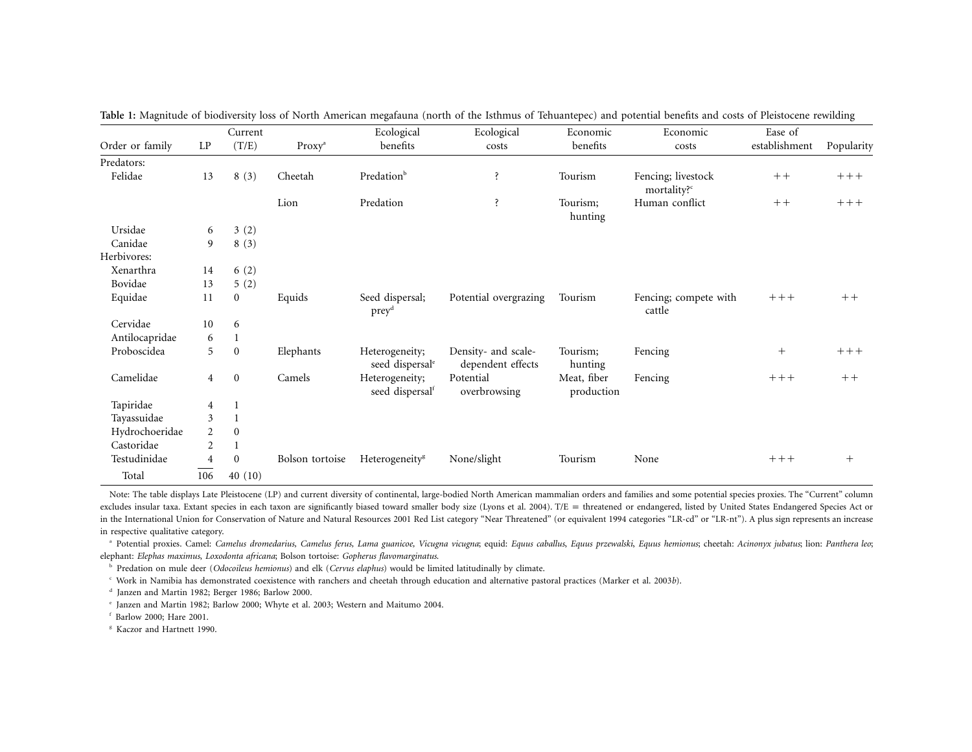|                 | Current        |                |                    | Ecological                                    | Ecological                               | Economic                  | Economic                                      | Ease of       |            |
|-----------------|----------------|----------------|--------------------|-----------------------------------------------|------------------------------------------|---------------------------|-----------------------------------------------|---------------|------------|
| Order or family | LP             | (T/E)          | Proxy <sup>a</sup> | benefits                                      | costs                                    | benefits                  | costs                                         | establishment | Popularity |
| Predators:      |                |                |                    |                                               |                                          |                           |                                               |               |            |
| Felidae         | 13             | 8(3)           | Cheetah            | Predation <sup>b</sup>                        | Ş                                        | Tourism                   | Fencing; livestock<br>mortality? <sup>c</sup> | $++$          | $++++$     |
|                 |                |                | Lion               | Predation                                     | $\ddot{\cdot}$                           | Tourism;<br>hunting       | Human conflict                                | $++$          | $++++$     |
| Ursidae         | 6              | 3(2)           |                    |                                               |                                          |                           |                                               |               |            |
| Canidae         | 9              | 8(3)           |                    |                                               |                                          |                           |                                               |               |            |
| Herbivores:     |                |                |                    |                                               |                                          |                           |                                               |               |            |
| Xenarthra       | 14             | 6(2)           |                    |                                               |                                          |                           |                                               |               |            |
| Bovidae         | 13             | 5(2)           |                    |                                               |                                          |                           |                                               |               |            |
| Equidae         | 11             | $\overline{0}$ | Equids             | Seed dispersal;<br>prey <sup>d</sup>          | Potential overgrazing                    | Tourism                   | Fencing; compete with<br>cattle               | $+++$         | $++$       |
| Cervidae        | 10             | 6              |                    |                                               |                                          |                           |                                               |               |            |
| Antilocapridae  | 6              | $\mathbf{1}$   |                    |                                               |                                          |                           |                                               |               |            |
| Proboscidea     | 5              | $\mathbf{0}$   | Elephants          | Heterogeneity;<br>seed dispersal <sup>e</sup> | Density- and scale-<br>dependent effects | Tourism;<br>hunting       | Fencing                                       | $^{+}$        | $++++$     |
| Camelidae       | $\overline{4}$ | $\mathbf{0}$   | Camels             | Heterogeneity;<br>seed dispersal <sup>f</sup> | Potential<br>overbrowsing                | Meat, fiber<br>production | Fencing                                       | $++++$        | $++$       |
| Tapiridae       | $\overline{4}$ | -1             |                    |                                               |                                          |                           |                                               |               |            |
| Tayassuidae     | 3              | $\mathbf{1}$   |                    |                                               |                                          |                           |                                               |               |            |
| Hydrochoeridae  | 2              | $\mathbf{0}$   |                    |                                               |                                          |                           |                                               |               |            |
| Castoridae      | 2              | $\mathbf{1}$   |                    |                                               |                                          |                           |                                               |               |            |
| Testudinidae    | $\overline{4}$ | $\mathbf{0}$   | Bolson tortoise    | Heterogeneity <sup>8</sup>                    | None/slight                              | Tourism                   | None                                          | $++++$        | $^{+}$     |
| Total           | 106            | 40(10)         |                    |                                               |                                          |                           |                                               |               |            |

**Table 1:** Magnitude of biodiversity loss of North American megafauna (north of the Isthmus of Tehuantepec) and potential benefits and costs of Pleistocene rewilding

Note: The table displays Late Pleistocene (LP) and current diversity of continental, large-bodied North American mammalian orders and families and some potential species proxies. The "Current" column excludes insular taxa. Extant species in each taxon are significantly biased toward smaller body size (Lyons et al. 2004). T/E = threatened or endangered, listed by United States Endangered Species Act or in the International Union for Conservation of Nature and Natural Resources 2001 Red List category "Near Threatened" (or equivalent 1994 categories "LR-cd" or "LR-nt"). A plus sign represents an increase in respective qualitative category.

a Potential proxies. Camel: *Camelus dromedarius, Camelus ferus, Lama guanicoe, Vicugna vicugna*; equid: *Equus caballus, Equus przewalski, Equus hemionus*; cheetah: Ac*inonyx jubatus*; lion: *Panthera leo*; elephant: *Elephas maximus*, *Loxodonta africana*; Bolson tortoise: *Gopherus flavomarginatus*.

b Predation on mule deer (*Odocoileus hemionus*) and elk (*Cervus elaphus*) would be limited latitudinally by climate.

c Work in Namibia has demonstrated coexistence with ranchers and cheetah through education and alternative pastoral practices (Marker et al. <sup>2003</sup>*b*).

d Janzen and Martin 1982; Berger 1986; Barlow 2000.

e Janzen and Martin 1982; Barlow 2000; Whyte et al. 2003; Western and Maitumo 2004.

f Barlow 2000; Hare 2001.

<sup>8</sup> Kaczor and Hartnett 1990.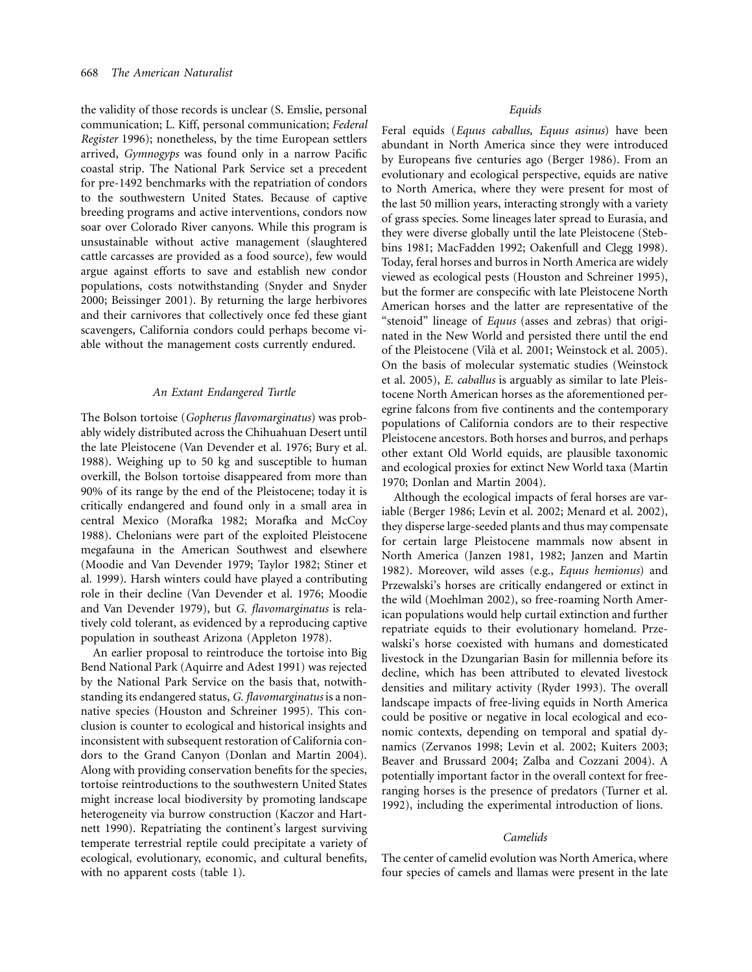the validity of those records is unclear (S. Emslie, personal communication; L. Kiff, personal communication; *Federal Register* 1996); nonetheless, by the time European settlers arrived, *Gymnogyps* was found only in a narrow Pacific coastal strip. The National Park Service set a precedent for pre-1492 benchmarks with the repatriation of condors to the southwestern United States. Because of captive breeding programs and active interventions, condors now soar over Colorado River canyons. While this program is unsustainable without active management (slaughtered cattle carcasses are provided as a food source), few would argue against efforts to save and establish new condor populations, costs notwithstanding (Snyder and Snyder 2000; Beissinger 2001). By returning the large herbivores and their carnivores that collectively once fed these giant scavengers, California condors could perhaps become viable without the management costs currently endured.

### *An Extant Endangered Turtle*

The Bolson tortoise (*Gopherus flavomarginatus*) was probably widely distributed across the Chihuahuan Desert until the late Pleistocene (Van Devender et al. 1976; Bury et al. 1988). Weighing up to 50 kg and susceptible to human overkill, the Bolson tortoise disappeared from more than 90% of its range by the end of the Pleistocene; today it is critically endangered and found only in a small area in central Mexico (Morafka 1982; Morafka and McCoy 1988). Chelonians were part of the exploited Pleistocene megafauna in the American Southwest and elsewhere (Moodie and Van Devender 1979; Taylor 1982; Stiner et al. 1999). Harsh winters could have played a contributing role in their decline (Van Devender et al. 1976; Moodie and Van Devender 1979), but *G. flavomarginatus* is relatively cold tolerant, as evidenced by a reproducing captive population in southeast Arizona (Appleton 1978).

An earlier proposal to reintroduce the tortoise into Big Bend National Park (Aquirre and Adest 1991) was rejected by the National Park Service on the basis that, notwithstanding its endangered status, *G. flavomarginatus* is a nonnative species (Houston and Schreiner 1995). This conclusion is counter to ecological and historical insights and inconsistent with subsequent restoration of California condors to the Grand Canyon (Donlan and Martin 2004). Along with providing conservation benefits for the species, tortoise reintroductions to the southwestern United States might increase local biodiversity by promoting landscape heterogeneity via burrow construction (Kaczor and Hartnett 1990). Repatriating the continent's largest surviving temperate terrestrial reptile could precipitate a variety of ecological, evolutionary, economic, and cultural benefits, with no apparent costs (table 1).

# *Equids*

Feral equids (*Equus caballus, Equus asinus*) have been abundant in North America since they were introduced by Europeans five centuries ago (Berger 1986). From an evolutionary and ecological perspective, equids are native to North America, where they were present for most of the last 50 million years, interacting strongly with a variety of grass species. Some lineages later spread to Eurasia, and they were diverse globally until the late Pleistocene (Stebbins 1981; MacFadden 1992; Oakenfull and Clegg 1998). Today, feral horses and burros in North America are widely viewed as ecological pests (Houston and Schreiner 1995), but the former are conspecific with late Pleistocene North American horses and the latter are representative of the "stenoid" lineage of *Equus* (asses and zebras) that originated in the New World and persisted there until the end of the Pleistocene (Vila` et al. 2001; Weinstock et al. 2005). On the basis of molecular systematic studies (Weinstock et al. 2005), *E. caballus* is arguably as similar to late Pleistocene North American horses as the aforementioned peregrine falcons from five continents and the contemporary populations of California condors are to their respective Pleistocene ancestors. Both horses and burros, and perhaps other extant Old World equids, are plausible taxonomic and ecological proxies for extinct New World taxa (Martin 1970; Donlan and Martin 2004).

Although the ecological impacts of feral horses are variable (Berger 1986; Levin et al. 2002; Menard et al. 2002), they disperse large-seeded plants and thus may compensate for certain large Pleistocene mammals now absent in North America (Janzen 1981, 1982; Janzen and Martin 1982). Moreover, wild asses (e.g., *Equus hemionus*) and Przewalski's horses are critically endangered or extinct in the wild (Moehlman 2002), so free-roaming North American populations would help curtail extinction and further repatriate equids to their evolutionary homeland. Przewalski's horse coexisted with humans and domesticated livestock in the Dzungarian Basin for millennia before its decline, which has been attributed to elevated livestock densities and military activity (Ryder 1993). The overall landscape impacts of free-living equids in North America could be positive or negative in local ecological and economic contexts, depending on temporal and spatial dynamics (Zervanos 1998; Levin et al. 2002; Kuiters 2003; Beaver and Brussard 2004; Zalba and Cozzani 2004). A potentially important factor in the overall context for freeranging horses is the presence of predators (Turner et al. 1992), including the experimental introduction of lions.

# *Camelids*

The center of camelid evolution was North America, where four species of camels and llamas were present in the late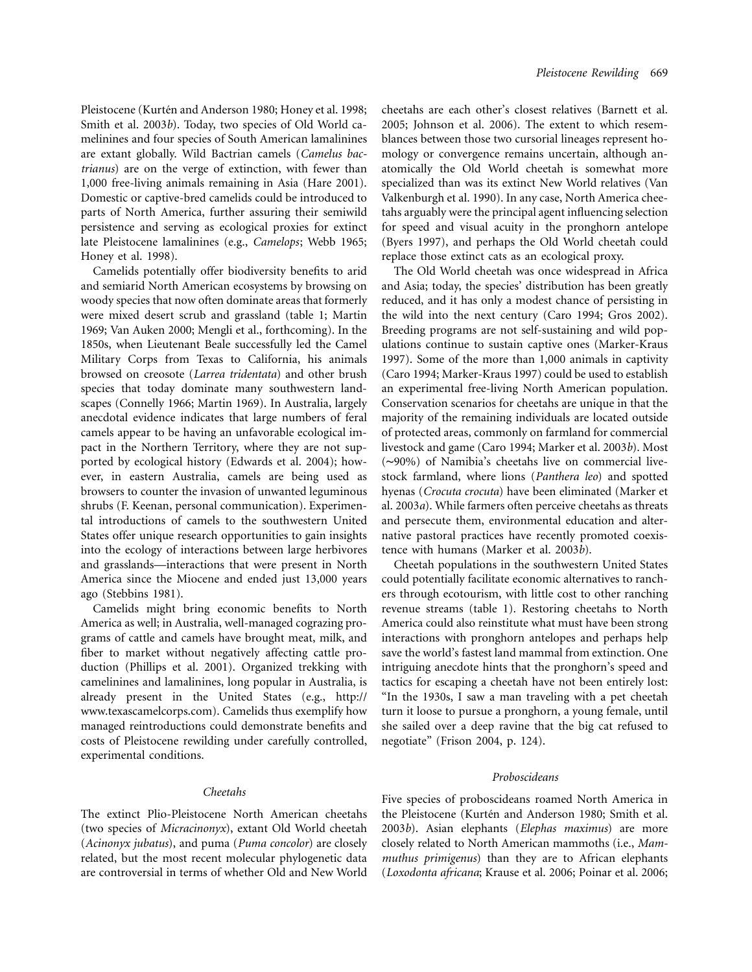Pleistocene (Kurtén and Anderson 1980; Honey et al. 1998; Smith et al. 2003*b*). Today, two species of Old World camelinines and four species of South American lamalinines are extant globally. Wild Bactrian camels (*Camelus bactrianus*) are on the verge of extinction, with fewer than 1,000 free-living animals remaining in Asia (Hare 2001). Domestic or captive-bred camelids could be introduced to parts of North America, further assuring their semiwild persistence and serving as ecological proxies for extinct late Pleistocene lamalinines (e.g., *Camelops*; Webb 1965; Honey et al. 1998).

Camelids potentially offer biodiversity benefits to arid and semiarid North American ecosystems by browsing on woody species that now often dominate areas that formerly were mixed desert scrub and grassland (table 1; Martin 1969; Van Auken 2000; Mengli et al., forthcoming). In the 1850s, when Lieutenant Beale successfully led the Camel Military Corps from Texas to California, his animals browsed on creosote (*Larrea tridentata*) and other brush species that today dominate many southwestern landscapes (Connelly 1966; Martin 1969). In Australia, largely anecdotal evidence indicates that large numbers of feral camels appear to be having an unfavorable ecological impact in the Northern Territory, where they are not supported by ecological history (Edwards et al. 2004); however, in eastern Australia, camels are being used as browsers to counter the invasion of unwanted leguminous shrubs (F. Keenan, personal communication). Experimental introductions of camels to the southwestern United States offer unique research opportunities to gain insights into the ecology of interactions between large herbivores and grasslands—interactions that were present in North America since the Miocene and ended just 13,000 years ago (Stebbins 1981).

Camelids might bring economic benefits to North America as well; in Australia, well-managed cograzing programs of cattle and camels have brought meat, milk, and fiber to market without negatively affecting cattle production (Phillips et al. 2001). Organized trekking with camelinines and lamalinines, long popular in Australia, is already present in the United States (e.g., http:// www.texascamelcorps.com). Camelids thus exemplify how managed reintroductions could demonstrate benefits and costs of Pleistocene rewilding under carefully controlled, experimental conditions.

#### *Cheetahs*

The extinct Plio-Pleistocene North American cheetahs (two species of *Micracinonyx*), extant Old World cheetah (*Acinonyx jubatus*), and puma (*Puma concolor*) are closely related, but the most recent molecular phylogenetic data are controversial in terms of whether Old and New World cheetahs are each other's closest relatives (Barnett et al. 2005; Johnson et al. 2006). The extent to which resemblances between those two cursorial lineages represent homology or convergence remains uncertain, although anatomically the Old World cheetah is somewhat more specialized than was its extinct New World relatives (Van Valkenburgh et al. 1990). In any case, North America cheetahs arguably were the principal agent influencing selection for speed and visual acuity in the pronghorn antelope (Byers 1997), and perhaps the Old World cheetah could replace those extinct cats as an ecological proxy.

The Old World cheetah was once widespread in Africa and Asia; today, the species' distribution has been greatly reduced, and it has only a modest chance of persisting in the wild into the next century (Caro 1994; Gros 2002). Breeding programs are not self-sustaining and wild populations continue to sustain captive ones (Marker-Kraus 1997). Some of the more than 1,000 animals in captivity (Caro 1994; Marker-Kraus 1997) could be used to establish an experimental free-living North American population. Conservation scenarios for cheetahs are unique in that the majority of the remaining individuals are located outside of protected areas, commonly on farmland for commercial livestock and game (Caro 1994; Marker et al. 2003*b*). Most (∼90%) of Namibia's cheetahs live on commercial livestock farmland, where lions (*Panthera leo*) and spotted hyenas (*Crocuta crocuta*) have been eliminated (Marker et al. 2003*a*). While farmers often perceive cheetahs as threats and persecute them, environmental education and alternative pastoral practices have recently promoted coexistence with humans (Marker et al. 2003*b*).

Cheetah populations in the southwestern United States could potentially facilitate economic alternatives to ranchers through ecotourism, with little cost to other ranching revenue streams (table 1). Restoring cheetahs to North America could also reinstitute what must have been strong interactions with pronghorn antelopes and perhaps help save the world's fastest land mammal from extinction. One intriguing anecdote hints that the pronghorn's speed and tactics for escaping a cheetah have not been entirely lost: "In the 1930s, I saw a man traveling with a pet cheetah turn it loose to pursue a pronghorn, a young female, until she sailed over a deep ravine that the big cat refused to negotiate" (Frison 2004, p. 124).

#### *Proboscideans*

Five species of proboscideans roamed North America in the Pleistocene (Kurtén and Anderson 1980; Smith et al. 2003*b*). Asian elephants (*Elephas maximus*) are more closely related to North American mammoths (i.e., *Mammuthus primigenus*) than they are to African elephants (*Loxodonta africana*; Krause et al. 2006; Poinar et al. 2006;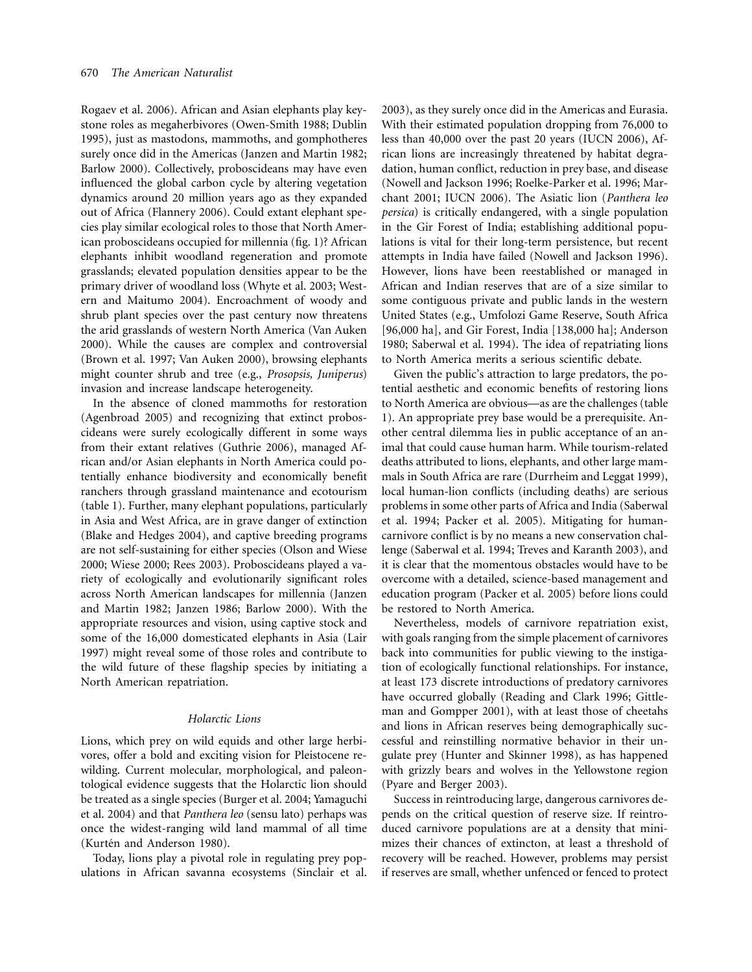Rogaev et al. 2006). African and Asian elephants play keystone roles as megaherbivores (Owen-Smith 1988; Dublin 1995), just as mastodons, mammoths, and gomphotheres surely once did in the Americas (Janzen and Martin 1982; Barlow 2000). Collectively, proboscideans may have even influenced the global carbon cycle by altering vegetation dynamics around 20 million years ago as they expanded out of Africa (Flannery 2006). Could extant elephant species play similar ecological roles to those that North American proboscideans occupied for millennia (fig. 1)? African elephants inhibit woodland regeneration and promote grasslands; elevated population densities appear to be the primary driver of woodland loss (Whyte et al. 2003; Western and Maitumo 2004). Encroachment of woody and shrub plant species over the past century now threatens the arid grasslands of western North America (Van Auken 2000). While the causes are complex and controversial (Brown et al. 1997; Van Auken 2000), browsing elephants might counter shrub and tree (e.g., *Prosopsis, Juniperus*) invasion and increase landscape heterogeneity.

In the absence of cloned mammoths for restoration (Agenbroad 2005) and recognizing that extinct proboscideans were surely ecologically different in some ways from their extant relatives (Guthrie 2006), managed African and/or Asian elephants in North America could potentially enhance biodiversity and economically benefit ranchers through grassland maintenance and ecotourism (table 1). Further, many elephant populations, particularly in Asia and West Africa, are in grave danger of extinction (Blake and Hedges 2004), and captive breeding programs are not self-sustaining for either species (Olson and Wiese 2000; Wiese 2000; Rees 2003). Proboscideans played a variety of ecologically and evolutionarily significant roles across North American landscapes for millennia (Janzen and Martin 1982; Janzen 1986; Barlow 2000). With the appropriate resources and vision, using captive stock and some of the 16,000 domesticated elephants in Asia (Lair 1997) might reveal some of those roles and contribute to the wild future of these flagship species by initiating a North American repatriation.

#### *Holarctic Lions*

Lions, which prey on wild equids and other large herbivores, offer a bold and exciting vision for Pleistocene rewilding. Current molecular, morphological, and paleontological evidence suggests that the Holarctic lion should be treated as a single species (Burger et al. 2004; Yamaguchi et al. 2004) and that *Panthera leo* (sensu lato) perhaps was once the widest-ranging wild land mammal of all time (Kurtén and Anderson 1980).

Today, lions play a pivotal role in regulating prey populations in African savanna ecosystems (Sinclair et al. 2003), as they surely once did in the Americas and Eurasia. With their estimated population dropping from 76,000 to less than 40,000 over the past 20 years (IUCN 2006), African lions are increasingly threatened by habitat degradation, human conflict, reduction in prey base, and disease (Nowell and Jackson 1996; Roelke-Parker et al. 1996; Marchant 2001; IUCN 2006). The Asiatic lion (*Panthera leo persica*) is critically endangered, with a single population in the Gir Forest of India; establishing additional populations is vital for their long-term persistence, but recent attempts in India have failed (Nowell and Jackson 1996). However, lions have been reestablished or managed in African and Indian reserves that are of a size similar to some contiguous private and public lands in the western United States (e.g., Umfolozi Game Reserve, South Africa [96,000 ha], and Gir Forest, India [138,000 ha]; Anderson 1980; Saberwal et al. 1994). The idea of repatriating lions to North America merits a serious scientific debate.

Given the public's attraction to large predators, the potential aesthetic and economic benefits of restoring lions to North America are obvious—as are the challenges (table 1). An appropriate prey base would be a prerequisite. Another central dilemma lies in public acceptance of an animal that could cause human harm. While tourism-related deaths attributed to lions, elephants, and other large mammals in South Africa are rare (Durrheim and Leggat 1999), local human-lion conflicts (including deaths) are serious problems in some other parts of Africa and India (Saberwal et al. 1994; Packer et al. 2005). Mitigating for humancarnivore conflict is by no means a new conservation challenge (Saberwal et al. 1994; Treves and Karanth 2003), and it is clear that the momentous obstacles would have to be overcome with a detailed, science-based management and education program (Packer et al. 2005) before lions could be restored to North America.

Nevertheless, models of carnivore repatriation exist, with goals ranging from the simple placement of carnivores back into communities for public viewing to the instigation of ecologically functional relationships. For instance, at least 173 discrete introductions of predatory carnivores have occurred globally (Reading and Clark 1996; Gittleman and Gompper 2001), with at least those of cheetahs and lions in African reserves being demographically successful and reinstilling normative behavior in their ungulate prey (Hunter and Skinner 1998), as has happened with grizzly bears and wolves in the Yellowstone region (Pyare and Berger 2003).

Success in reintroducing large, dangerous carnivores depends on the critical question of reserve size. If reintroduced carnivore populations are at a density that minimizes their chances of extincton, at least a threshold of recovery will be reached. However, problems may persist if reserves are small, whether unfenced or fenced to protect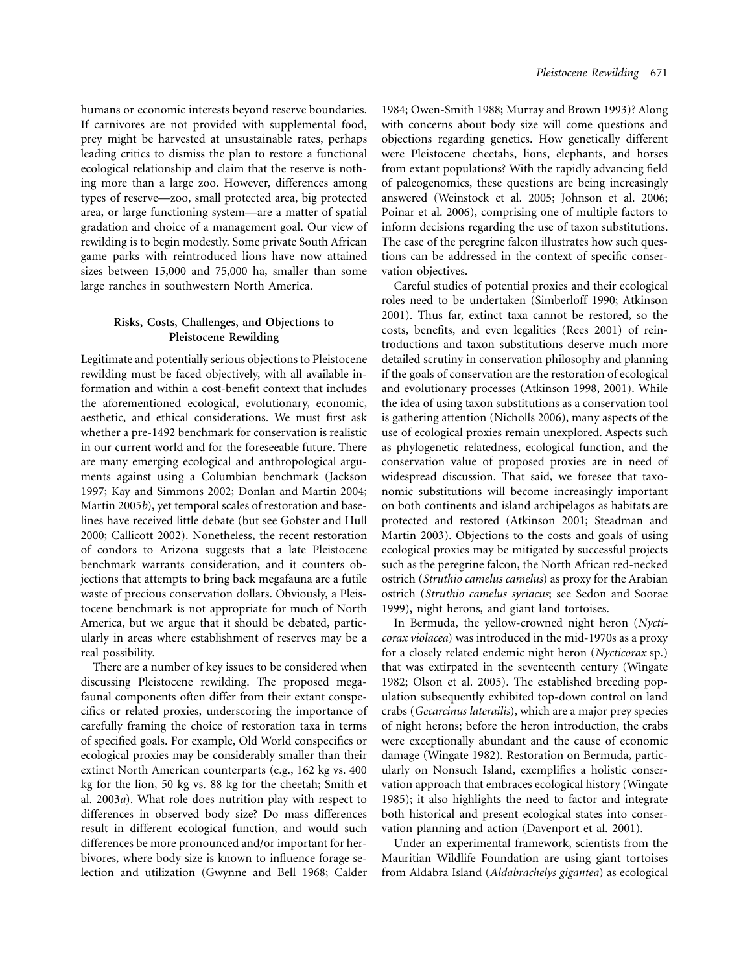humans or economic interests beyond reserve boundaries. If carnivores are not provided with supplemental food, prey might be harvested at unsustainable rates, perhaps leading critics to dismiss the plan to restore a functional ecological relationship and claim that the reserve is nothing more than a large zoo. However, differences among types of reserve—zoo, small protected area, big protected area, or large functioning system—are a matter of spatial gradation and choice of a management goal. Our view of rewilding is to begin modestly. Some private South African game parks with reintroduced lions have now attained sizes between 15,000 and 75,000 ha, smaller than some large ranches in southwestern North America.

# **Risks, Costs, Challenges, and Objections to Pleistocene Rewilding**

Legitimate and potentially serious objections to Pleistocene rewilding must be faced objectively, with all available information and within a cost-benefit context that includes the aforementioned ecological, evolutionary, economic, aesthetic, and ethical considerations. We must first ask whether a pre-1492 benchmark for conservation is realistic in our current world and for the foreseeable future. There are many emerging ecological and anthropological arguments against using a Columbian benchmark (Jackson 1997; Kay and Simmons 2002; Donlan and Martin 2004; Martin 2005*b*), yet temporal scales of restoration and baselines have received little debate (but see Gobster and Hull 2000; Callicott 2002). Nonetheless, the recent restoration of condors to Arizona suggests that a late Pleistocene benchmark warrants consideration, and it counters objections that attempts to bring back megafauna are a futile waste of precious conservation dollars. Obviously, a Pleistocene benchmark is not appropriate for much of North America, but we argue that it should be debated, particularly in areas where establishment of reserves may be a real possibility.

There are a number of key issues to be considered when discussing Pleistocene rewilding. The proposed megafaunal components often differ from their extant conspecifics or related proxies, underscoring the importance of carefully framing the choice of restoration taxa in terms of specified goals. For example, Old World conspecifics or ecological proxies may be considerably smaller than their extinct North American counterparts (e.g., 162 kg vs. 400 kg for the lion, 50 kg vs. 88 kg for the cheetah; Smith et al. 2003*a*). What role does nutrition play with respect to differences in observed body size? Do mass differences result in different ecological function, and would such differences be more pronounced and/or important for herbivores, where body size is known to influence forage selection and utilization (Gwynne and Bell 1968; Calder

1984; Owen-Smith 1988; Murray and Brown 1993)? Along with concerns about body size will come questions and objections regarding genetics. How genetically different were Pleistocene cheetahs, lions, elephants, and horses from extant populations? With the rapidly advancing field of paleogenomics, these questions are being increasingly answered (Weinstock et al. 2005; Johnson et al. 2006; Poinar et al. 2006), comprising one of multiple factors to inform decisions regarding the use of taxon substitutions. The case of the peregrine falcon illustrates how such questions can be addressed in the context of specific conservation objectives.

Careful studies of potential proxies and their ecological roles need to be undertaken (Simberloff 1990; Atkinson 2001). Thus far, extinct taxa cannot be restored, so the costs, benefits, and even legalities (Rees 2001) of reintroductions and taxon substitutions deserve much more detailed scrutiny in conservation philosophy and planning if the goals of conservation are the restoration of ecological and evolutionary processes (Atkinson 1998, 2001). While the idea of using taxon substitutions as a conservation tool is gathering attention (Nicholls 2006), many aspects of the use of ecological proxies remain unexplored. Aspects such as phylogenetic relatedness, ecological function, and the conservation value of proposed proxies are in need of widespread discussion. That said, we foresee that taxonomic substitutions will become increasingly important on both continents and island archipelagos as habitats are protected and restored (Atkinson 2001; Steadman and Martin 2003). Objections to the costs and goals of using ecological proxies may be mitigated by successful projects such as the peregrine falcon, the North African red-necked ostrich (*Struthio camelus camelus*) as proxy for the Arabian ostrich (*Struthio camelus syriacus*; see Sedon and Soorae 1999), night herons, and giant land tortoises.

In Bermuda, the yellow-crowned night heron (*Nycticorax violacea*) was introduced in the mid-1970s as a proxy for a closely related endemic night heron (*Nycticorax* sp.) that was extirpated in the seventeenth century (Wingate 1982; Olson et al. 2005). The established breeding population subsequently exhibited top-down control on land crabs (*Gecarcinus laterailis*), which are a major prey species of night herons; before the heron introduction, the crabs were exceptionally abundant and the cause of economic damage (Wingate 1982). Restoration on Bermuda, particularly on Nonsuch Island, exemplifies a holistic conservation approach that embraces ecological history (Wingate 1985); it also highlights the need to factor and integrate both historical and present ecological states into conservation planning and action (Davenport et al. 2001).

Under an experimental framework, scientists from the Mauritian Wildlife Foundation are using giant tortoises from Aldabra Island (*Aldabrachelys gigantea*) as ecological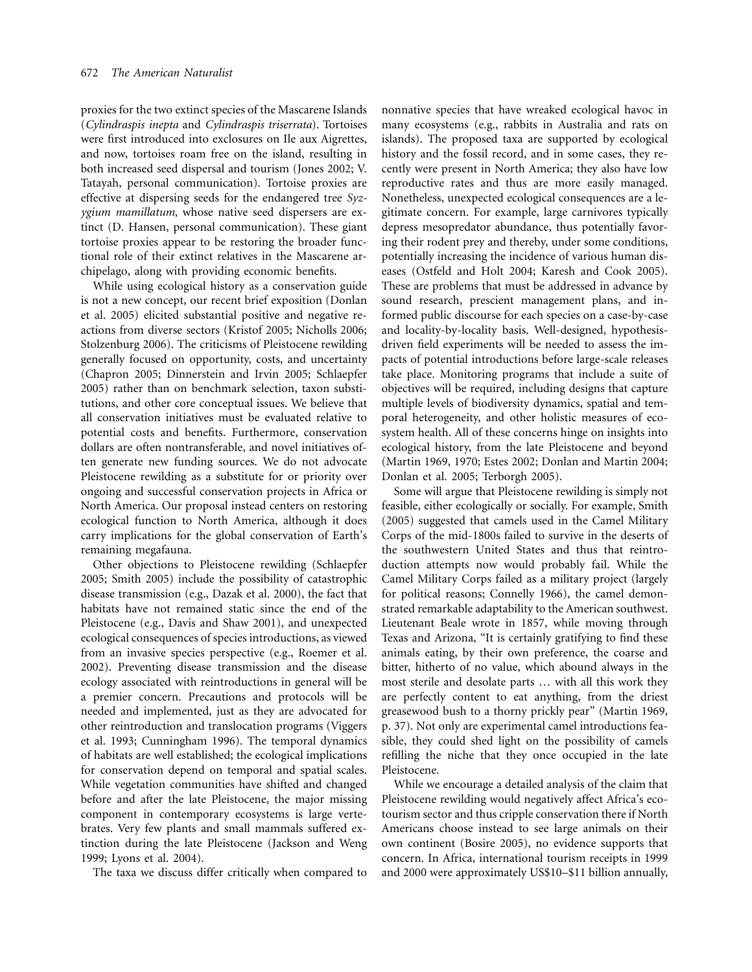proxies for the two extinct species of the Mascarene Islands (*Cylindraspis inepta* and *Cylindraspis triserrata*). Tortoises were first introduced into exclosures on Ile aux Aigrettes, and now, tortoises roam free on the island, resulting in both increased seed dispersal and tourism (Jones 2002; V. Tatayah, personal communication). Tortoise proxies are effective at dispersing seeds for the endangered tree *Syzygium mamillatum*, whose native seed dispersers are extinct (D. Hansen, personal communication). These giant tortoise proxies appear to be restoring the broader functional role of their extinct relatives in the Mascarene archipelago, along with providing economic benefits.

While using ecological history as a conservation guide is not a new concept, our recent brief exposition (Donlan et al. 2005) elicited substantial positive and negative reactions from diverse sectors (Kristof 2005; Nicholls 2006; Stolzenburg 2006). The criticisms of Pleistocene rewilding generally focused on opportunity, costs, and uncertainty (Chapron 2005; Dinnerstein and Irvin 2005; Schlaepfer 2005) rather than on benchmark selection, taxon substitutions, and other core conceptual issues. We believe that all conservation initiatives must be evaluated relative to potential costs and benefits. Furthermore, conservation dollars are often nontransferable, and novel initiatives often generate new funding sources. We do not advocate Pleistocene rewilding as a substitute for or priority over ongoing and successful conservation projects in Africa or North America. Our proposal instead centers on restoring ecological function to North America, although it does carry implications for the global conservation of Earth's remaining megafauna.

Other objections to Pleistocene rewilding (Schlaepfer 2005; Smith 2005) include the possibility of catastrophic disease transmission (e.g., Dazak et al. 2000), the fact that habitats have not remained static since the end of the Pleistocene (e.g., Davis and Shaw 2001), and unexpected ecological consequences of species introductions, as viewed from an invasive species perspective (e.g., Roemer et al. 2002). Preventing disease transmission and the disease ecology associated with reintroductions in general will be a premier concern. Precautions and protocols will be needed and implemented, just as they are advocated for other reintroduction and translocation programs (Viggers et al. 1993; Cunningham 1996). The temporal dynamics of habitats are well established; the ecological implications for conservation depend on temporal and spatial scales. While vegetation communities have shifted and changed before and after the late Pleistocene, the major missing component in contemporary ecosystems is large vertebrates. Very few plants and small mammals suffered extinction during the late Pleistocene (Jackson and Weng 1999; Lyons et al. 2004).

The taxa we discuss differ critically when compared to

nonnative species that have wreaked ecological havoc in many ecosystems (e.g., rabbits in Australia and rats on islands). The proposed taxa are supported by ecological history and the fossil record, and in some cases, they recently were present in North America; they also have low reproductive rates and thus are more easily managed. Nonetheless, unexpected ecological consequences are a legitimate concern. For example, large carnivores typically depress mesopredator abundance, thus potentially favoring their rodent prey and thereby, under some conditions, potentially increasing the incidence of various human diseases (Ostfeld and Holt 2004; Karesh and Cook 2005). These are problems that must be addressed in advance by sound research, prescient management plans, and informed public discourse for each species on a case-by-case and locality-by-locality basis. Well-designed, hypothesisdriven field experiments will be needed to assess the impacts of potential introductions before large-scale releases take place. Monitoring programs that include a suite of objectives will be required, including designs that capture multiple levels of biodiversity dynamics, spatial and temporal heterogeneity, and other holistic measures of ecosystem health. All of these concerns hinge on insights into ecological history, from the late Pleistocene and beyond (Martin 1969, 1970; Estes 2002; Donlan and Martin 2004; Donlan et al. 2005; Terborgh 2005).

Some will argue that Pleistocene rewilding is simply not feasible, either ecologically or socially. For example, Smith (2005) suggested that camels used in the Camel Military Corps of the mid-1800s failed to survive in the deserts of the southwestern United States and thus that reintroduction attempts now would probably fail. While the Camel Military Corps failed as a military project (largely for political reasons; Connelly 1966), the camel demonstrated remarkable adaptability to the American southwest. Lieutenant Beale wrote in 1857, while moving through Texas and Arizona, "It is certainly gratifying to find these animals eating, by their own preference, the coarse and bitter, hitherto of no value, which abound always in the most sterile and desolate parts … with all this work they are perfectly content to eat anything, from the driest greasewood bush to a thorny prickly pear" (Martin 1969, p. 37). Not only are experimental camel introductions feasible, they could shed light on the possibility of camels refilling the niche that they once occupied in the late Pleistocene.

While we encourage a detailed analysis of the claim that Pleistocene rewilding would negatively affect Africa's ecotourism sector and thus cripple conservation there if North Americans choose instead to see large animals on their own continent (Bosire 2005), no evidence supports that concern. In Africa, international tourism receipts in 1999 and 2000 were approximately US\$10–\$11 billion annually,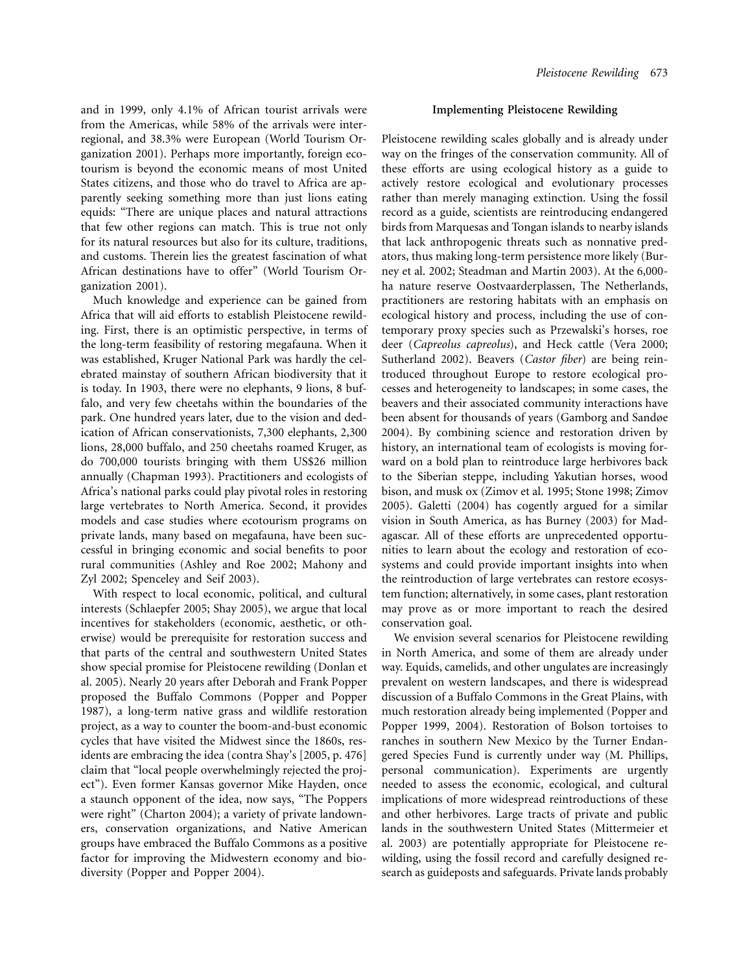and in 1999, only 4.1% of African tourist arrivals were from the Americas, while 58% of the arrivals were interregional, and 38.3% were European (World Tourism Organization 2001). Perhaps more importantly, foreign ecotourism is beyond the economic means of most United States citizens, and those who do travel to Africa are apparently seeking something more than just lions eating equids: "There are unique places and natural attractions that few other regions can match. This is true not only for its natural resources but also for its culture, traditions, and customs. Therein lies the greatest fascination of what African destinations have to offer" (World Tourism Organization 2001).

Much knowledge and experience can be gained from Africa that will aid efforts to establish Pleistocene rewilding. First, there is an optimistic perspective, in terms of the long-term feasibility of restoring megafauna. When it was established, Kruger National Park was hardly the celebrated mainstay of southern African biodiversity that it is today. In 1903, there were no elephants, 9 lions, 8 buffalo, and very few cheetahs within the boundaries of the park. One hundred years later, due to the vision and dedication of African conservationists, 7,300 elephants, 2,300 lions, 28,000 buffalo, and 250 cheetahs roamed Kruger, as do 700,000 tourists bringing with them US\$26 million annually (Chapman 1993). Practitioners and ecologists of Africa's national parks could play pivotal roles in restoring large vertebrates to North America. Second, it provides models and case studies where ecotourism programs on private lands, many based on megafauna, have been successful in bringing economic and social benefits to poor rural communities (Ashley and Roe 2002; Mahony and Zyl 2002; Spenceley and Seif 2003).

With respect to local economic, political, and cultural interests (Schlaepfer 2005; Shay 2005), we argue that local incentives for stakeholders (economic, aesthetic, or otherwise) would be prerequisite for restoration success and that parts of the central and southwestern United States show special promise for Pleistocene rewilding (Donlan et al. 2005). Nearly 20 years after Deborah and Frank Popper proposed the Buffalo Commons (Popper and Popper 1987), a long-term native grass and wildlife restoration project, as a way to counter the boom-and-bust economic cycles that have visited the Midwest since the 1860s, residents are embracing the idea (contra Shay's [2005, p. 476] claim that "local people overwhelmingly rejected the project"). Even former Kansas governor Mike Hayden, once a staunch opponent of the idea, now says, "The Poppers were right" (Charton 2004); a variety of private landowners, conservation organizations, and Native American groups have embraced the Buffalo Commons as a positive factor for improving the Midwestern economy and biodiversity (Popper and Popper 2004).

#### **Implementing Pleistocene Rewilding**

Pleistocene rewilding scales globally and is already under way on the fringes of the conservation community. All of these efforts are using ecological history as a guide to actively restore ecological and evolutionary processes rather than merely managing extinction. Using the fossil record as a guide, scientists are reintroducing endangered birds from Marquesas and Tongan islands to nearby islands that lack anthropogenic threats such as nonnative predators, thus making long-term persistence more likely (Burney et al. 2002; Steadman and Martin 2003). At the 6,000 ha nature reserve Oostvaarderplassen, The Netherlands, practitioners are restoring habitats with an emphasis on ecological history and process, including the use of contemporary proxy species such as Przewalski's horses, roe deer (*Capreolus capreolus*), and Heck cattle (Vera 2000; Sutherland 2002). Beavers (*Castor fiber*) are being reintroduced throughout Europe to restore ecological processes and heterogeneity to landscapes; in some cases, the beavers and their associated community interactions have been absent for thousands of years (Gamborg and Sandøe 2004). By combining science and restoration driven by history, an international team of ecologists is moving forward on a bold plan to reintroduce large herbivores back to the Siberian steppe, including Yakutian horses, wood bison, and musk ox (Zimov et al. 1995; Stone 1998; Zimov 2005). Galetti (2004) has cogently argued for a similar vision in South America, as has Burney (2003) for Madagascar. All of these efforts are unprecedented opportunities to learn about the ecology and restoration of ecosystems and could provide important insights into when the reintroduction of large vertebrates can restore ecosystem function; alternatively, in some cases, plant restoration may prove as or more important to reach the desired conservation goal.

We envision several scenarios for Pleistocene rewilding in North America, and some of them are already under way. Equids, camelids, and other ungulates are increasingly prevalent on western landscapes, and there is widespread discussion of a Buffalo Commons in the Great Plains, with much restoration already being implemented (Popper and Popper 1999, 2004). Restoration of Bolson tortoises to ranches in southern New Mexico by the Turner Endangered Species Fund is currently under way (M. Phillips, personal communication). Experiments are urgently needed to assess the economic, ecological, and cultural implications of more widespread reintroductions of these and other herbivores. Large tracts of private and public lands in the southwestern United States (Mittermeier et al. 2003) are potentially appropriate for Pleistocene rewilding, using the fossil record and carefully designed research as guideposts and safeguards. Private lands probably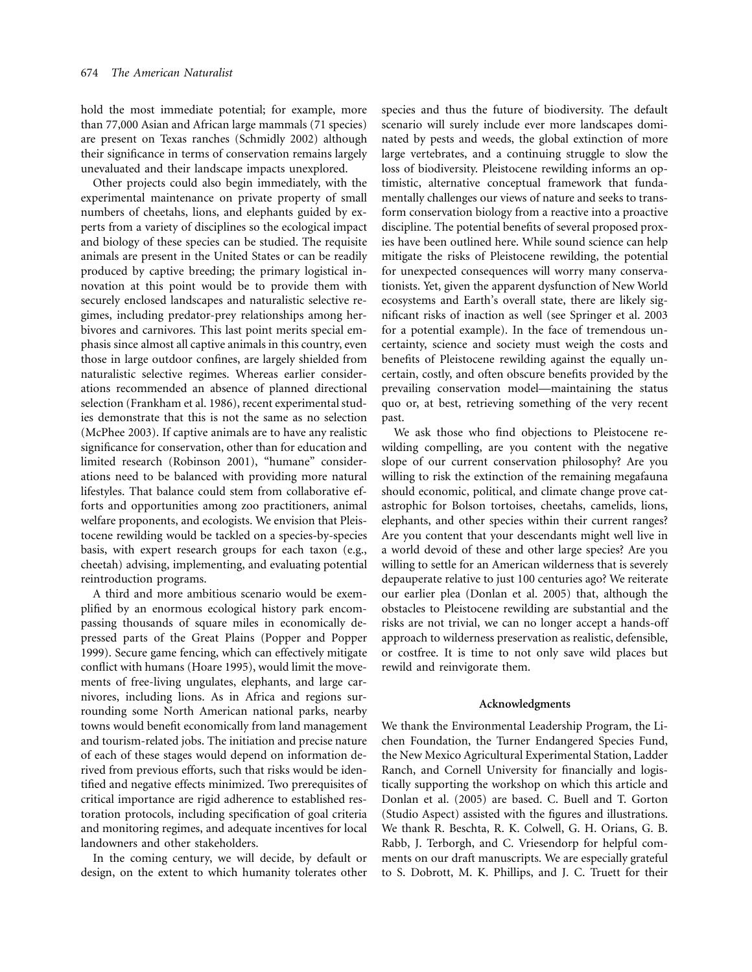hold the most immediate potential; for example, more than 77,000 Asian and African large mammals (71 species) are present on Texas ranches (Schmidly 2002) although their significance in terms of conservation remains largely unevaluated and their landscape impacts unexplored.

Other projects could also begin immediately, with the experimental maintenance on private property of small numbers of cheetahs, lions, and elephants guided by experts from a variety of disciplines so the ecological impact and biology of these species can be studied. The requisite animals are present in the United States or can be readily produced by captive breeding; the primary logistical innovation at this point would be to provide them with securely enclosed landscapes and naturalistic selective regimes, including predator-prey relationships among herbivores and carnivores. This last point merits special emphasis since almost all captive animals in this country, even those in large outdoor confines, are largely shielded from naturalistic selective regimes. Whereas earlier considerations recommended an absence of planned directional selection (Frankham et al. 1986), recent experimental studies demonstrate that this is not the same as no selection (McPhee 2003). If captive animals are to have any realistic significance for conservation, other than for education and limited research (Robinson 2001), "humane" considerations need to be balanced with providing more natural lifestyles. That balance could stem from collaborative efforts and opportunities among zoo practitioners, animal welfare proponents, and ecologists. We envision that Pleistocene rewilding would be tackled on a species-by-species basis, with expert research groups for each taxon (e.g., cheetah) advising, implementing, and evaluating potential reintroduction programs.

A third and more ambitious scenario would be exemplified by an enormous ecological history park encompassing thousands of square miles in economically depressed parts of the Great Plains (Popper and Popper 1999). Secure game fencing, which can effectively mitigate conflict with humans (Hoare 1995), would limit the movements of free-living ungulates, elephants, and large carnivores, including lions. As in Africa and regions surrounding some North American national parks, nearby towns would benefit economically from land management and tourism-related jobs. The initiation and precise nature of each of these stages would depend on information derived from previous efforts, such that risks would be identified and negative effects minimized. Two prerequisites of critical importance are rigid adherence to established restoration protocols, including specification of goal criteria and monitoring regimes, and adequate incentives for local landowners and other stakeholders.

In the coming century, we will decide, by default or design, on the extent to which humanity tolerates other species and thus the future of biodiversity. The default scenario will surely include ever more landscapes dominated by pests and weeds, the global extinction of more large vertebrates, and a continuing struggle to slow the loss of biodiversity. Pleistocene rewilding informs an optimistic, alternative conceptual framework that fundamentally challenges our views of nature and seeks to transform conservation biology from a reactive into a proactive discipline. The potential benefits of several proposed proxies have been outlined here. While sound science can help mitigate the risks of Pleistocene rewilding, the potential for unexpected consequences will worry many conservationists. Yet, given the apparent dysfunction of New World ecosystems and Earth's overall state, there are likely significant risks of inaction as well (see Springer et al. 2003 for a potential example). In the face of tremendous uncertainty, science and society must weigh the costs and benefits of Pleistocene rewilding against the equally uncertain, costly, and often obscure benefits provided by the prevailing conservation model—maintaining the status quo or, at best, retrieving something of the very recent past.

We ask those who find objections to Pleistocene rewilding compelling, are you content with the negative slope of our current conservation philosophy? Are you willing to risk the extinction of the remaining megafauna should economic, political, and climate change prove catastrophic for Bolson tortoises, cheetahs, camelids, lions, elephants, and other species within their current ranges? Are you content that your descendants might well live in a world devoid of these and other large species? Are you willing to settle for an American wilderness that is severely depauperate relative to just 100 centuries ago? We reiterate our earlier plea (Donlan et al. 2005) that, although the obstacles to Pleistocene rewilding are substantial and the risks are not trivial, we can no longer accept a hands-off approach to wilderness preservation as realistic, defensible, or costfree. It is time to not only save wild places but rewild and reinvigorate them.

# **Acknowledgments**

We thank the Environmental Leadership Program, the Lichen Foundation, the Turner Endangered Species Fund, the New Mexico Agricultural Experimental Station, Ladder Ranch, and Cornell University for financially and logistically supporting the workshop on which this article and Donlan et al. (2005) are based. C. Buell and T. Gorton (Studio Aspect) assisted with the figures and illustrations. We thank R. Beschta, R. K. Colwell, G. H. Orians, G. B. Rabb, J. Terborgh, and C. Vriesendorp for helpful comments on our draft manuscripts. We are especially grateful to S. Dobrott, M. K. Phillips, and J. C. Truett for their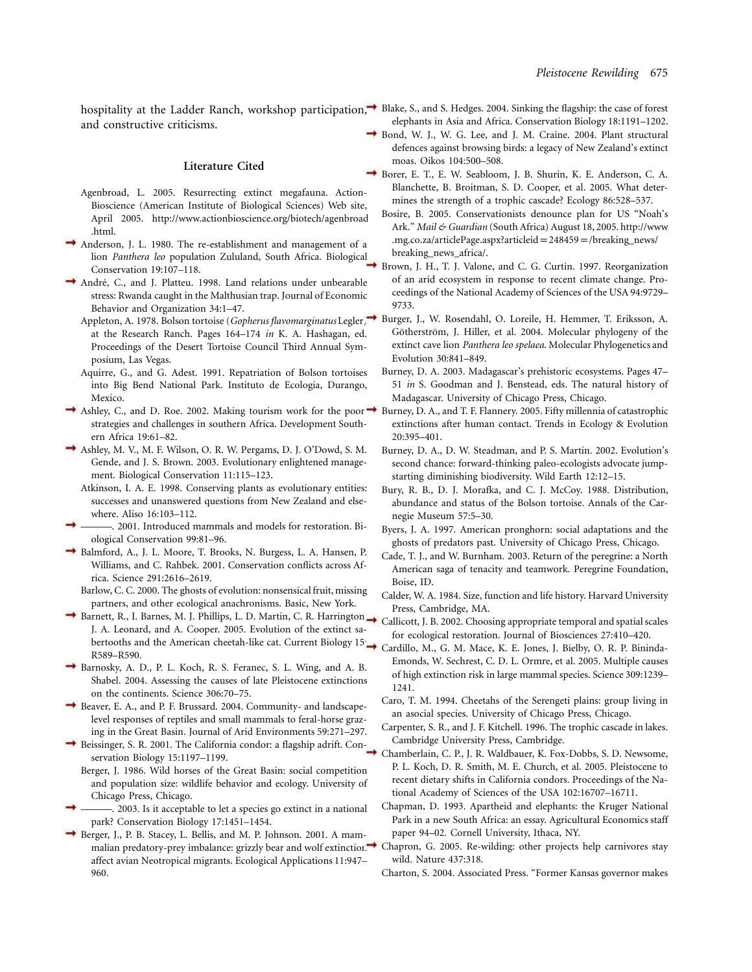and constructive criticisms.

# **Literature Cited**

- Agenbroad, L. 2005. Resurrecting extinct megafauna. Action-Bioscience (American Institute of Biological Sciences) Web site, April 2005. http://www.actionbioscience.org/biotech/agenbroad .html.
- Anderson, J. L. 1980. The re-establishment and management of a lion *Panthera leo* population Zululand, South Africa. Biological Conservation 19:107–118.
- André, C., and J. Platteu. 1998. Land relations under unbearable stress: Rwanda caught in the Malthusian trap. Journal of Economic Behavior and Organization 34:1–47.
	- Appleton, A. 1978. Bolson tortoise (*Gopherus flavomarginatus* Legler) at the Research Ranch. Pages 164–174 *in* K. A. Hashagan, ed. Proceedings of the Desert Tortoise Council Third Annual Symposium, Las Vegas.
	- Aquirre, G., and G. Adest. 1991. Repatriation of Bolson tortoises into Big Bend National Park. Instituto de Ecologia, Durango, Mexico.
- Ashley, C., and D. Roe. 2002. Making tourism work for the poor→ Burney, D. A., and T. F. Flannery. 2005. Fifty millennia of catastrophic strategies and challenges in southern Africa. Development Southern Africa 19:61–82.
- Ashley, M. V., M. F. Wilson, O. R. W. Pergams, D. J. O'Dowd, S. M. Gende, and J. S. Brown. 2003. Evolutionary enlightened management. Biological Conservation 11:115–123.
	- Atkinson, I. A. E. 1998. Conserving plants as evolutionary entities: successes and unanswered questions from New Zealand and elsewhere. Aliso 16:103–112.
- ———. 2001. Introduced mammals and models for restoration. Biological Conservation 99:81–96.
- Balmford, A., J. L. Moore, T. Brooks, N. Burgess, L. A. Hansen, P. Williams, and C. Rahbek. 2001. Conservation conflicts across Africa. Science 291:2616–2619.
	- Barlow, C. C. 2000. The ghosts of evolution: nonsensical fruit, missing partners, and other ecological anachronisms. Basic, New York.
- Barnett, R., I. Barnes, M. J. Phillips, L. D. Martin, C. R. Harrington J. A. Leonard, and A. Cooper. 2005. Evolution of the extinct sabertooths and the American cheetah-like cat. Current Biology 15: R589–R590.
- Barnosky, A. D., P. L. Koch, R. S. Feranec, S. L. Wing, and A. B. Shabel. 2004. Assessing the causes of late Pleistocene extinctions on the continents. Science 306:70–75.
- Beaver, E. A., and P. F. Brussard. 2004. Community- and landscapelevel responses of reptiles and small mammals to feral-horse grazing in the Great Basin. Journal of Arid Environments 59:271–297.
- Beissinger, S. R. 2001. The California condor: a flagship adrift. Conservation Biology 15:1197–1199.
	- Berger, J. 1986. Wild horses of the Great Basin: social competition and population size: wildlife behavior and ecology. University of Chicago Press, Chicago.
- -. 2003. Is it acceptable to let a species go extinct in a national park? Conservation Biology 17:1451–1454.
- Berger, J., P. B. Stacey, L. Bellis, and M. P. Johnson. 2001. A mamaffect avian Neotropical migrants. Ecological Applications 11:947– 960.
- hospitality at the Ladder Ranch, workshop participation, Blake, S., and S. Hedges. 2004. Sinking the flagship: the case of forest elephants in Asia and Africa. Conservation Biology 18:1191–1202.
	- Bond, W. J., W. G. Lee, and J. M. Craine. 2004. Plant structural defences against browsing birds: a legacy of New Zealand's extinct moas. Oikos 104:500–508.
	- Borer, E. T., E. W. Seabloom, J. B. Shurin, K. E. Anderson, C. A. Blanchette, B. Broitman, S. D. Cooper, et al. 2005. What determines the strength of a trophic cascade? Ecology 86:528–537.
		- Bosire, B. 2005. Conservationists denounce plan for US "Noah's Ark." *Mail & Guardian* (South Africa) August 18, 2005. http://www .mg.co.za/articlePage.aspx?articleid =  $248459$  = /breaking news/ breaking\_news\_africa/.
	- Brown, J. H., T. J. Valone, and C. G. Curtin. 1997. Reorganization of an arid ecosystem in response to recent climate change. Proceedings of the National Academy of Sciences of the USA 94:9729– 9733.
		- Burger, J., W. Rosendahl, O. Loreile, H. Hemmer, T. Eriksson, A. Götherström, J. Hiller, et al. 2004. Molecular phylogeny of the extinct cave lion *Panthera leo spelaea*. Molecular Phylogenetics and Evolution 30:841–849.
		- Burney, D. A. 2003. Madagascar's prehistoric ecosystems. Pages 47– 51 *in* S. Goodman and J. Benstead, eds. The natural history of Madagascar. University of Chicago Press, Chicago.
		- extinctions after human contact. Trends in Ecology & Evolution 20:395–401.
		- Burney, D. A., D. W. Steadman, and P. S. Martin. 2002. Evolution's second chance: forward-thinking paleo-ecologists advocate jumpstarting diminishing biodiversity. Wild Earth 12:12–15.
		- Bury, R. B., D. J. Morafka, and C. J. McCoy. 1988. Distribution, abundance and status of the Bolson tortoise. Annals of the Carnegie Museum 57:5–30.
		- Byers, J. A. 1997. American pronghorn: social adaptations and the ghosts of predators past. University of Chicago Press, Chicago.
		- Cade, T. J., and W. Burnham. 2003. Return of the peregrine: a North American saga of tenacity and teamwork. Peregrine Foundation, Boise, ID.
		- Calder, W. A. 1984. Size, function and life history. Harvard University Press, Cambridge, MA.
		- Callicott, J. B. 2002. Choosing appropriate temporal and spatial scales for ecological restoration. Journal of Biosciences 27:410–420.
		- Cardillo, M., G. M. Mace, K. E. Jones, J. Bielby, O. R. P. Bininda-Emonds, W. Sechrest, C. D. L. Ormre, et al. 2005. Multiple causes of high extinction risk in large mammal species. Science 309:1239– 1241.
		- Caro, T. M. 1994. Cheetahs of the Serengeti plains: group living in an asocial species. University of Chicago Press, Chicago.
		- Carpenter, S. R., and J. F. Kitchell. 1996. The trophic cascade in lakes. Cambridge University Press, Cambridge.
	- Chamberlain, C. P., J. R. Waldbauer, K. Fox-Dobbs, S. D. Newsome, P. L. Koch, D. R. Smith, M. E. Church, et al. 2005. Pleistocene to recent dietary shifts in California condors. Proceedings of the National Academy of Sciences of the USA 102:16707–16711.
		- Chapman, D. 1993. Apartheid and elephants: the Kruger National Park in a new South Africa: an essay. Agricultural Economics staff paper 94–02. Cornell University, Ithaca, NY.
	- malian predatory-prey imbalance: grizzly bear and wolf extinction. Chapron, G. 2005. Re-wilding: other projects help carnivores stay wild. Nature 437:318.
		- Charton, S. 2004. Associated Press. "Former Kansas governor makes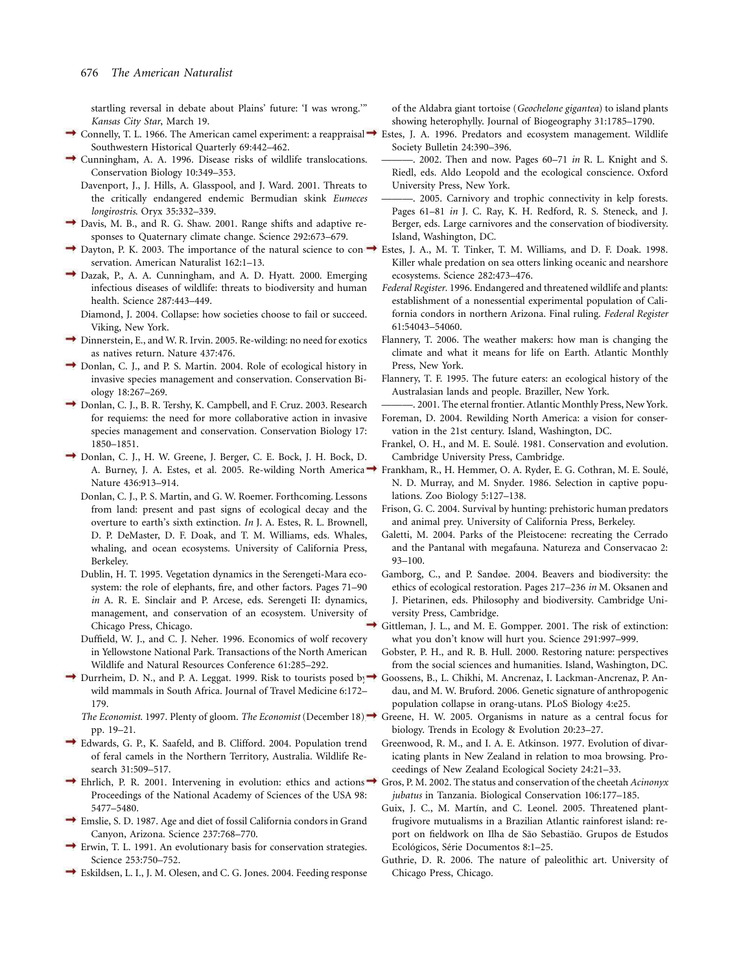startling reversal in debate about Plains' future: 'I was wrong.'" *Kansas City Star*, March 19.

- Connelly, T. L. 1966. The American camel experiment: a reappraisal  $\rightarrow$  Estes, J. A. 1996. Predators and ecosystem management. Wildlife Southwestern Historical Quarterly 69:442–462.
- Cunningham, A. A. 1996. Disease risks of wildlife translocations. Conservation Biology 10:349–353.
	- Davenport, J., J. Hills, A. Glasspool, and J. Ward. 2001. Threats to the critically endangered endemic Bermudian skink *Eumeces longirostris*. Oryx 35:332–339.
- Davis, M. B., and R. G. Shaw. 2001. Range shifts and adaptive responses to Quaternary climate change. Science 292:673–679.
- Dayton, P. K. 2003. The importance of the natural science to con-Estes, J. A., M. T. Tinker, T. M. Williams, and D. F. Doak. 1998. servation. American Naturalist 162:1–13.
- Dazak, P., A. A. Cunningham, and A. D. Hyatt. 2000. Emerging infectious diseases of wildlife: threats to biodiversity and human health. Science 287:443–449.
	- Diamond, J. 2004. Collapse: how societies choose to fail or succeed. Viking, New York.
- Dinnerstein, E., and W. R. Irvin. 2005. Re-wilding: no need for exotics as natives return. Nature 437:476.
- Donlan, C. J., and P. S. Martin. 2004. Role of ecological history in invasive species management and conservation. Conservation Biology 18:267–269.
- Donlan, C. J., B. R. Tershy, K. Campbell, and F. Cruz. 2003. Research for requiems: the need for more collaborative action in invasive species management and conservation. Conservation Biology 17: 1850–1851.
- Donlan, C. J., H. W. Greene, J. Berger, C. E. Bock, J. H. Bock, D. A. Burney, J. A. Estes, et al. 2005. Re-wilding North America. Nature 436:913–914.
	- Donlan, C. J., P. S. Martin, and G. W. Roemer. Forthcoming. Lessons from land: present and past signs of ecological decay and the overture to earth's sixth extinction. *In* J. A. Estes, R. L. Brownell, D. P. DeMaster, D. F. Doak, and T. M. Williams, eds. Whales, whaling, and ocean ecosystems. University of California Press, Berkeley.
	- Dublin, H. T. 1995. Vegetation dynamics in the Serengeti-Mara ecosystem: the role of elephants, fire, and other factors. Pages 71–90 *in* A. R. E. Sinclair and P. Arcese, eds. Serengeti II: dynamics, management, and conservation of an ecosystem. University of Chicago Press, Chicago.
	- Duffield, W. J., and C. J. Neher. 1996. Economics of wolf recovery in Yellowstone National Park. Transactions of the North American Wildlife and Natural Resources Conference 61:285–292.
- Durrheim, D. N., and P. A. Leggat. 1999. Risk to tourists posed by  $\rightarrow$ wild mammals in South Africa. Journal of Travel Medicine 6:172– 179.

*The Economist*. 1997. Plenty of gloom. *The Economist* (December 18), Greene, H. W. 2005. Organisms in nature as a central focus for pp. 19–21.

- Edwards, G. P., K. Saafeld, and B. Clifford. 2004. Population trend of feral camels in the Northern Territory, Australia. Wildlife Research 31:509–517.
- Ehrlich, P. R. 2001. Intervening in evolution: ethics and actions. Gros, P. M. 2002. The status and conservation of the cheetah*Acinonyx* Proceedings of the National Academy of Sciences of the USA 98: 5477–5480.
- Emslie, S. D. 1987. Age and diet of fossil California condors in Grand Canyon, Arizona. Science 237:768–770.
- Erwin, T. L. 1991. An evolutionary basis for conservation strategies. Science 253:750–752.
- Eskildsen, L. I., J. M. Olesen, and C. G. Jones. 2004. Feeding response

of the Aldabra giant tortoise (*Geochelone gigantea*) to island plants showing heterophylly. Journal of Biogeography 31:1785–1790.

- Society Bulletin 24:390–396.
- ———. 2002. Then and now. Pages 60–71 *in* R. L. Knight and S. Riedl, eds. Aldo Leopold and the ecological conscience. Oxford University Press, New York.
- -. 2005. Carnivory and trophic connectivity in kelp forests. Pages 61–81 *in* J. C. Ray, K. H. Redford, R. S. Steneck, and J. Berger, eds. Large carnivores and the conservation of biodiversity. Island, Washington, DC.
- Killer whale predation on sea otters linking oceanic and nearshore ecosystems. Science 282:473–476.
- *Federal Register*. 1996. Endangered and threatened wildlife and plants: establishment of a nonessential experimental population of California condors in northern Arizona. Final ruling. *Federal Register* 61:54043–54060.
- Flannery, T. 2006. The weather makers: how man is changing the climate and what it means for life on Earth. Atlantic Monthly Press, New York.
- Flannery, T. F. 1995. The future eaters: an ecological history of the Australasian lands and people. Braziller, New York.
- -. 2001. The eternal frontier. Atlantic Monthly Press, New York.
- Foreman, D. 2004. Rewilding North America: a vision for conservation in the 21st century. Island, Washington, DC.
- Frankel, O. H., and M. E. Soulé. 1981. Conservation and evolution. Cambridge University Press, Cambridge.
- Frankham, R., H. Hemmer, O. A. Ryder, E. G. Cothran, M. E. Soulé, N. D. Murray, and M. Snyder. 1986. Selection in captive populations. Zoo Biology 5:127–138.
	- Frison, G. C. 2004. Survival by hunting: prehistoric human predators and animal prey. University of California Press, Berkeley.
	- Galetti, M. 2004. Parks of the Pleistocene: recreating the Cerrado and the Pantanal with megafauna. Natureza and Conservacao 2: 93–100.
	- Gamborg, C., and P. Sandøe. 2004. Beavers and biodiversity: the ethics of ecological restoration. Pages 217–236 *in* M. Oksanen and J. Pietarinen, eds. Philosophy and biodiversity. Cambridge University Press, Cambridge.
- Gittleman, J. L., and M. E. Gompper. 2001. The risk of extinction: what you don't know will hurt you. Science 291:997–999.
	- Gobster, P. H., and R. B. Hull. 2000. Restoring nature: perspectives from the social sciences and humanities. Island, Washington, DC.
	- Goossens, B., L. Chikhi, M. Ancrenaz, I. Lackman-Ancrenaz, P. Andau, and M. W. Bruford. 2006. Genetic signature of anthropogenic population collapse in orang-utans. PLoS Biology 4:e25.
	- biology. Trends in Ecology & Evolution 20:23–27.
	- Greenwood, R. M., and I. A. E. Atkinson. 1977. Evolution of divaricating plants in New Zealand in relation to moa browsing. Proceedings of New Zealand Ecological Society 24:21–33.
	- *jubatus* in Tanzania. Biological Conservation 106:177–185.
	- Guix, J. C., M. Martín, and C. Leonel. 2005. Threatened plantfrugivore mutualisms in a Brazilian Atlantic rainforest island: report on fieldwork on Ilha de São Sebastião. Grupos de Estudos Ecológicos, Série Documentos 8:1-25.
	- Guthrie, D. R. 2006. The nature of paleolithic art. University of Chicago Press, Chicago.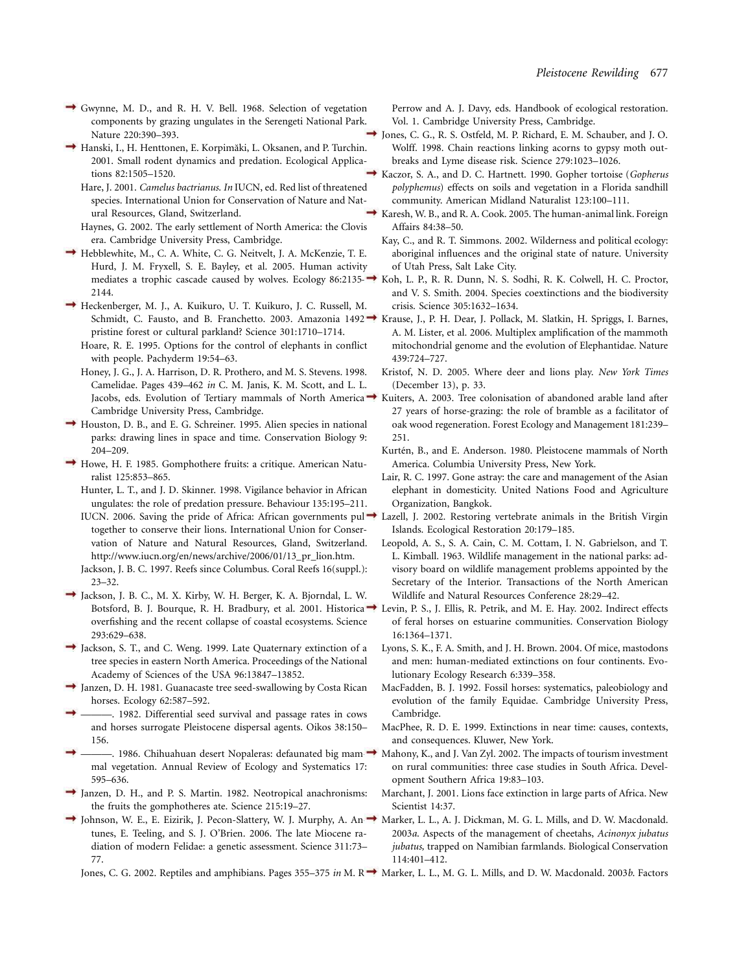- Gwynne, M. D., and R. H. V. Bell. 1968. Selection of vegetation components by grazing ungulates in the Serengeti National Park. Nature 220:390–393.
- → Hanski, I., H. Henttonen, E. Korpimăki, L. Oksanen, and P. Turchin. 2001. Small rodent dynamics and predation. Ecological Applications 82:1505–1520.
	- Hare, J. 2001. *Camelus bactrianus*. *In* IUCN, ed. Red list of threatened species. International Union for Conservation of Nature and Natural Resources, Gland, Switzerland.
	- Haynes, G. 2002. The early settlement of North America: the Clovis era. Cambridge University Press, Cambridge.
- Hebblewhite, M., C. A. White, C. G. Neitvelt, J. A. McKenzie, T. E. Hurd, J. M. Fryxell, S. E. Bayley, et al. 2005. Human activity 2144.
- Heckenberger, M. J., A. Kuikuro, U. T. Kuikuro, J. C. Russell, M. pristine forest or cultural parkland? Science 301:1710–1714.
	- Hoare, R. E. 1995. Options for the control of elephants in conflict with people. Pachyderm 19:54–63.
	- Honey, J. G., J. A. Harrison, D. R. Prothero, and M. S. Stevens. 1998. Camelidae. Pages 439–462 *in* C. M. Janis, K. M. Scott, and L. L. Jacobs, eds. Evolution of Tertiary mammals of North America  $\rightarrow$  Kuiters, A. 2003. Tree colonisation of abandoned arable land after Cambridge University Press, Cambridge.
- Houston, D. B., and E. G. Schreiner. 1995. Alien species in national parks: drawing lines in space and time. Conservation Biology 9: 204–209.
- Howe, H. F. 1985. Gomphothere fruits: a critique. American Naturalist 125:853–865.
	- Hunter, L. T., and J. D. Skinner. 1998. Vigilance behavior in African ungulates: the role of predation pressure. Behaviour 135:195–211.
	- IUCN. 2006. Saving the pride of Africa: African governments pul together to conserve their lions. International Union for Conservation of Nature and Natural Resources, Gland, Switzerland. http://www.iucn.org/en/news/archive/2006/01/13\_pr\_lion.htm. Jackson, J. B. C. 1997. Reefs since Columbus. Coral Reefs 16(suppl.): 23–32.
- Jackson, J. B. C., M. X. Kirby, W. H. Berger, K. A. Bjorndal, L. W. overfishing and the recent collapse of coastal ecosystems. Science 293:629–638.
- Jackson, S. T., and C. Weng. 1999. Late Quaternary extinction of a tree species in eastern North America. Proceedings of the National Academy of Sciences of the USA 96:13847–13852.
- Janzen, D. H. 1981. Guanacaste tree seed-swallowing by Costa Rican horses. Ecology 62:587–592.
- ———. 1982. Differential seed survival and passage rates in cows and horses surrogate Pleistocene dispersal agents. Oikos 38:150– 156.
- ———. 1986. Chihuahuan desert Nopaleras: defaunated big mam-Mahony, K., and J. Van Zyl. 2002. The impacts of tourism investment mal vegetation. Annual Review of Ecology and Systematics 17: 595–636.
- Janzen, D. H., and P. S. Martin. 1982. Neotropical anachronisms: the fruits the gomphotheres ate. Science 215:19–27.
- tunes, E. Teeling, and S. J. O'Brien. 2006. The late Miocene radiation of modern Felidae: a genetic assessment. Science 311:73– 77.

Perrow and A. J. Davy, eds. Handbook of ecological restoration. Vol. 1. Cambridge University Press, Cambridge.

- Jones, C. G., R. S. Ostfeld, M. P. Richard, E. M. Schauber, and J. O. Wolff. 1998. Chain reactions linking acorns to gypsy moth outbreaks and Lyme disease risk. Science 279:1023–1026.
- Kaczor, S. A., and D. C. Hartnett. 1990. Gopher tortoise (*Gopherus polyphemus*) effects on soils and vegetation in a Florida sandhill community. American Midland Naturalist 123:100–111.
- Karesh, W. B., and R. A. Cook. 2005. The human-animal link. Foreign Affairs 84:38–50.
- Kay, C., and R. T. Simmons. 2002. Wilderness and political ecology: aboriginal influences and the original state of nature. University of Utah Press, Salt Lake City.
- mediates a trophic cascade caused by wolves. Ecology 86:2135– Koh, L. P., R. R. Dunn, N. S. Sodhi, R. K. Colwell, H. C. Proctor, and V. S. Smith. 2004. Species coextinctions and the biodiversity crisis. Science 305:1632–1634.
- Schmidt, C. Fausto, and B. Franchetto. 2003. Amazonia 1492 <u>Werause, J., P. H. Dear, J. Pollack, M. Slatkin, H. Spriggs, I. Barnes,</u> A. M. Lister, et al. 2006. Multiplex amplification of the mammoth mitochondrial genome and the evolution of Elephantidae. Nature 439:724–727.
	- Kristof, N. D. 2005. Where deer and lions play. *New York Times* (December 13), p. 33.
	- 27 years of horse-grazing: the role of bramble as a facilitator of oak wood regeneration. Forest Ecology and Management 181:239– 251.
	- Kurtén, B., and E. Anderson. 1980. Pleistocene mammals of North America. Columbia University Press, New York.
	- Lair, R. C. 1997. Gone astray: the care and management of the Asian elephant in domesticity. United Nations Food and Agriculture Organization, Bangkok.
	- Lazell, J. 2002. Restoring vertebrate animals in the British Virgin Islands. Ecological Restoration 20:179–185.
	- Leopold, A. S., S. A. Cain, C. M. Cottam, I. N. Gabrielson, and T. L. Kimball. 1963. Wildlife management in the national parks: advisory board on wildlife management problems appointed by the Secretary of the Interior. Transactions of the North American Wildlife and Natural Resources Conference 28:29–42.
- Botsford, B. J. Bourque, R. H. Bradbury, et al. 2001. Historica Levin, P. S., J. Ellis, R. Petrik, and M. E. Hay. 2002. Indirect effects of feral horses on estuarine communities. Conservation Biology 16:1364–1371.
	- Lyons, S. K., F. A. Smith, and J. H. Brown. 2004. Of mice, mastodons and men: human-mediated extinctions on four continents. Evolutionary Ecology Research 6:339–358.
	- MacFadden, B. J. 1992. Fossil horses: systematics, paleobiology and evolution of the family Equidae. Cambridge University Press, Cambridge.
	- MacPhee, R. D. E. 1999. Extinctions in near time: causes, contexts, and consequences. Kluwer, New York.
	- on rural communities: three case studies in South Africa. Development Southern Africa 19:83–103.
	- Marchant, J. 2001. Lions face extinction in large parts of Africa. New Scientist 14:37.
- Johnson, W. E., E. Eizirik, J. Pecon-Slattery, W. J. Murphy, A. An → Marker, L. L., A. J. Dickman, M. G. L. Mills, and D. W. Macdonald. 2003*a*. Aspects of the management of cheetahs, *Acinonyx jubatus jubatus,* trapped on Namibian farmlands. Biological Conservation 114:401–412.

Jones, C. G. 2002. Reptiles and amphibians. Pages 355–375 *in* M. R → Marker, L. L., M. G. L. Mills, and D. W. Macdonald. 2003*b.* Factors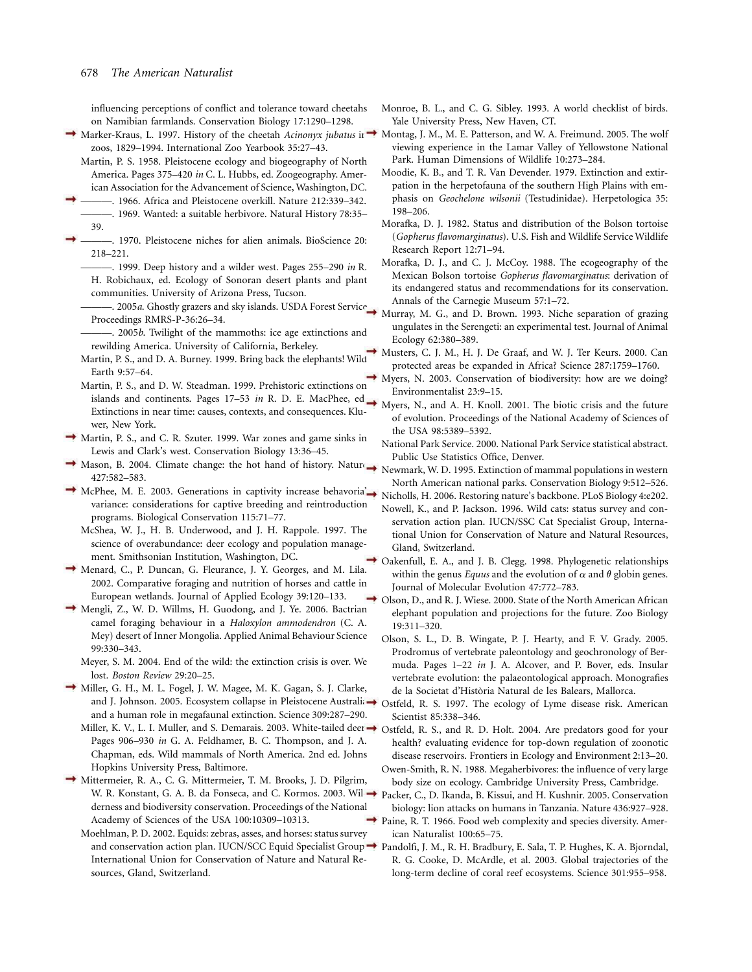influencing perceptions of conflict and tolerance toward cheetahs on Namibian farmlands. Conservation Biology 17:1290–1298.

- Marker-Kraus, L. 1997. History of the cheetah Acinonyx jubatus in Montag, J. M., M. E. Patterson, and W. A. Freimund. 2005. The wolf zoos, 1829–1994. International Zoo Yearbook 35:27–43.
	- Martin, P. S. 1958. Pleistocene ecology and biogeography of North America. Pages 375–420 *in* C. L. Hubbs, ed. Zoogeography. American Association for the Advancement of Science, Washington, DC.
- ———. 1966. Africa and Pleistocene overkill. Nature 212:339–342. ———. 1969. Wanted: a suitable herbivore. Natural History 78:35– 39.
	- ———. 1970. Pleistocene niches for alien animals. BioScience 20: 218–221.
		- ———. 1999. Deep history and a wilder west. Pages 255–290 *in* R. H. Robichaux, ed. Ecology of Sonoran desert plants and plant communities. University of Arizona Press, Tucson.
		- . 2005*a*. Ghostly grazers and sky islands. USDA Forest Service Proceedings RMRS-P-36:26–34.
		- ———. 2005*b*. Twilight of the mammoths: ice age extinctions and rewilding America. University of California, Berkeley.
	- Martin, P. S., and D. A. Burney. 1999. Bring back the elephants! Wild Earth 9:57–64.
	- Martin, P. S., and D. W. Steadman. 1999. Prehistoric extinctions on islands and continents. Pages 17–53 *in* R. D. E. MacPhee, ed. Extinctions in near time: causes, contexts, and consequences. Kluwer, New York.
- Martin, P. S., and C. R. Szuter. 1999. War zones and game sinks in Lewis and Clark's west. Conservation Biology 13:36–45.
- Mason, B. 2004. Climate change: the hot hand of history. Nature 427:582–583.
- McPhee, M. E. 2003. Generations in captivity increase behavorial variance: considerations for captive breeding and reintroduction programs. Biological Conservation 115:71–77.
	- McShea, W. J., H. B. Underwood, and J. H. Rappole. 1997. The science of overabundance: deer ecology and population management. Smithsonian Institution, Washington, DC.
- Menard, C., P. Duncan, G. Fleurance, J. Y. Georges, and M. Lila. 2002. Comparative foraging and nutrition of horses and cattle in European wetlands. Journal of Applied Ecology 39:120–133.
- Mengli, Z., W. D. Willms, H. Guodong, and J. Ye. 2006. Bactrian camel foraging behaviour in a *Haloxylon ammodendron* (C. A. Mey) desert of Inner Mongolia. Applied Animal Behaviour Science 99:330–343.
	- Meyer, S. M. 2004. End of the wild: the extinction crisis is over. We lost. *Boston Review* 29:20–25.
- Miller, G. H., M. L. Fogel, J. W. Magee, M. K. Gagan, S. J. Clarke, and J. Johnson. 2005. Ecosystem collapse in Pleistocene Australia  $\rightarrow$ and a human role in megafaunal extinction. Science 309:287–290.
	- Miller, K. V., L. I. Muller, and S. Demarais. 2003. White-tailed deer. Pages 906–930 *in* G. A. Feldhamer, B. C. Thompson, and J. A. Chapman, eds. Wild mammals of North America. 2nd ed. Johns Hopkins University Press, Baltimore.
- Mittermeier, R. A., C. G. Mittermeier, T. M. Brooks, J. D. Pilgrim, W. R. Konstant, G. A. B. da Fonseca, and C. Kormos. 2003. Wil  $\rightarrow$  Packer, C., D. Ikanda, B. Kissui, and H. Kushnir. 2005. Conservation derness and biodiversity conservation. Proceedings of the National Academy of Sciences of the USA 100:10309–10313.
	- Moehlman, P. D. 2002. Equids: zebras, asses, and horses: status survey and conservation action plan. IUCN/SCC Equid Specialist Group  $\rightarrow$  Pandolfi, J. M., R. H. Bradbury, E. Sala, T. P. Hughes, K. A. Bjorndal, International Union for Conservation of Nature and Natural Resources, Gland, Switzerland.
- Monroe, B. L., and C. G. Sibley. 1993. A world checklist of birds. Yale University Press, New Haven, CT.
- viewing experience in the Lamar Valley of Yellowstone National Park. Human Dimensions of Wildlife 10:273–284.
- Moodie, K. B., and T. R. Van Devender. 1979. Extinction and extirpation in the herpetofauna of the southern High Plains with emphasis on *Geochelone wilsonii* (Testudinidae). Herpetologica 35: 198–206.
- Morafka, D. J. 1982. Status and distribution of the Bolson tortoise (*Gopherus flavomarginatus*). U.S. Fish and Wildlife Service Wildlife Research Report 12:71–94.
- Morafka, D. J., and C. J. McCoy. 1988. The ecogeography of the Mexican Bolson tortoise *Gopherus flavomarginatus*: derivation of its endangered status and recommendations for its conservation. Annals of the Carnegie Museum 57:1–72.
- Murray, M. G., and D. Brown. 1993. Niche separation of grazing ungulates in the Serengeti: an experimental test. Journal of Animal Ecology 62:380–389.
- Musters, C. J. M., H. J. De Graaf, and W. J. Ter Keurs. 2000. Can protected areas be expanded in Africa? Science 287:1759–1760.
- Myers, N. 2003. Conservation of biodiversity: how are we doing? Environmentalist 23:9–15.
- Myers, N., and A. H. Knoll. 2001. The biotic crisis and the future of evolution. Proceedings of the National Academy of Sciences of the USA 98:5389–5392.
	- National Park Service. 2000. National Park Service statistical abstract. Public Use Statistics Office, Denver.
	- Newmark, W. D. 1995. Extinction of mammal populations in western North American national parks. Conservation Biology 9:512–526.
	- Nicholls, H. 2006. Restoring nature's backbone. PLoS Biology 4:e202. Nowell, K., and P. Jackson. 1996. Wild cats: status survey and conservation action plan. IUCN/SSC Cat Specialist Group, Interna-
	- tional Union for Conservation of Nature and Natural Resources, Gland, Switzerland.
	- Oakenfull, E. A., and J. B. Clegg. 1998. Phylogenetic relationships within the genus *Equus* and the evolution of  $\alpha$  and  $\theta$  globin genes. Journal of Molecular Evolution 47:772–783.
	- Olson, D., and R. J. Wiese. 2000. State of the North American African elephant population and projections for the future. Zoo Biology 19:311–320.
	- Olson, S. L., D. B. Wingate, P. J. Hearty, and F. V. Grady. 2005. Prodromus of vertebrate paleontology and geochronology of Bermuda. Pages 1–22 *in* J. A. Alcover, and P. Bover, eds. Insular vertebrate evolution: the palaeontological approach. Monografies de la Societat d'Història Natural de les Balears, Mallorca.
	- Ostfeld, R. S. 1997. The ecology of Lyme disease risk. American Scientist 85:338–346.
	- Ostfeld, R. S., and R. D. Holt. 2004. Are predators good for your health? evaluating evidence for top-down regulation of zoonotic disease reservoirs. Frontiers in Ecology and Environment 2:13–20.
	- Owen-Smith, R. N. 1988. Megaherbivores: the influence of very large body size on ecology. Cambridge University Press, Cambridge.
	- biology: lion attacks on humans in Tanzania. Nature 436:927–928.
- Paine, R. T. 1966. Food web complexity and species diversity. American Naturalist 100:65–75.
	- R. G. Cooke, D. McArdle, et al. 2003. Global trajectories of the long-term decline of coral reef ecosystems. Science 301:955–958.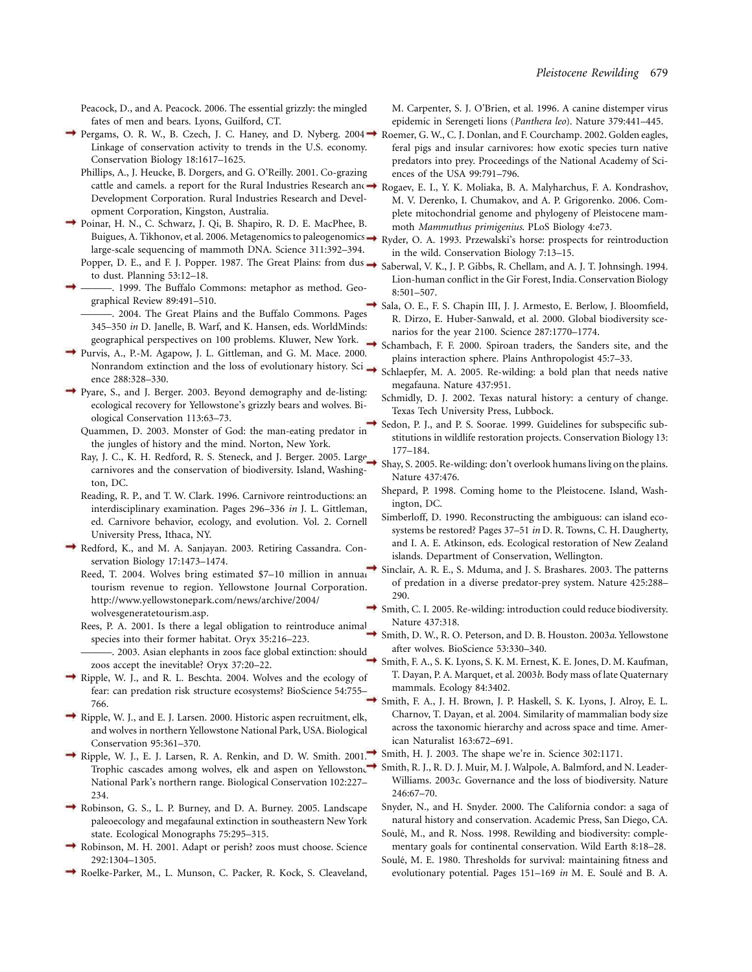Peacock, D., and A. Peacock. 2006. The essential grizzly: the mingled fates of men and bears. Lyons, Guilford, CT.

- Pergams, O. R. W., B. Czech, J. C. Haney, and D. Nyberg. 2004  $\rightarrow$  Roemer, G. W., C. J. Donlan, and F. Courchamp. 2002. Golden eagles, Linkage of conservation activity to trends in the U.S. economy. Conservation Biology 18:1617–1625.
	- Phillips, A., J. Heucke, B. Dorgers, and G. O'Reilly. 2001. Co-grazing cattle and camels. a report for the Rural Industries Research and  $\rightarrow$  Rogaev, E. I., Y. K. Moliaka, B. A. Malyharchus, F. A. Kondrashov, Development Corporation. Rural Industries Research and Development Corporation, Kingston, Australia.
- Poinar, H. N., C. Schwarz, J. Qi, B. Shapiro, R. D. E. MacPhee, B. Buigues, A. Tikhonov, et al. 2006. Metagenomics to paleogenomics  $\rightarrow$  Ryder, O. A. 1993. Przewalski's horse: prospects for reintroduction large-scale sequencing of mammoth DNA. Science 311:392–394.
- to dust. Planning 53:12–18. ———. 1999. The Buffalo Commons: metaphor as method. Geographical Review 89:491–510.
	- ———. 2004. The Great Plains and the Buffalo Commons. Pages 345–350 *in* D. Janelle, B. Warf, and K. Hansen, eds. WorldMinds: geographical perspectives on 100 problems. Kluwer, New York.
- Purvis, A., P.-M. Agapow, J. L. Gittleman, and G. M. Mace. 2000. Nonrandom extinction and the loss of evolutionary history. Sci ence 288:328–330.
- Pyare, S., and J. Berger. 2003. Beyond demography and de-listing: ecological recovery for Yellowstone's grizzly bears and wolves. Biological Conservation 113:63–73.
	- Quammen, D. 2003. Monster of God: the man-eating predator in the jungles of history and the mind. Norton, New York.
	- Ray, J. C., K. H. Redford, R. S. Steneck, and J. Berger. 2005. Large carnivores and the conservation of biodiversity. Island, Washington, DC.
	- Reading, R. P., and T. W. Clark. 1996. Carnivore reintroductions: an interdisciplinary examination. Pages 296–336 *in* J. L. Gittleman, ed. Carnivore behavior, ecology, and evolution. Vol. 2. Cornell University Press, Ithaca, NY.
- Redford, K., and M. A. Sanjayan. 2003. Retiring Cassandra. Conservation Biology 17:1473–1474.
	- Reed, T. 2004. Wolves bring estimated \$7–10 million in annual tourism revenue to region. Yellowstone Journal Corporation. http://www.yellowstonepark.com/news/archive/2004/ wolvesgeneratetourism.asp.
	- Rees, P. A. 2001. Is there a legal obligation to reintroduce animal species into their former habitat. Oryx 35:216–223.
	- ———. 2003. Asian elephants in zoos face global extinction: should zoos accept the inevitable? Oryx 37:20–22.
- Ripple, W. J., and R. L. Beschta. 2004. Wolves and the ecology of fear: can predation risk structure ecosystems? BioScience 54:755– 766.
- \* Ripple, W. J., and E. J. Larsen. 2000. Historic aspen recruitment, elk, and wolves in northern Yellowstone National Park, USA. Biological Conservation 95:361–370.
- Ripple, W. J., E. J. Larsen, R. A. Renkin, and D. W. Smith. 2001.  $\rightarrow$  Smith, H. J. 2003. The shape we're in. Science 302:1171. National Park's northern range. Biological Conservation 102:227– 234.
- Robinson, G. S., L. P. Burney, and D. A. Burney. 2005. Landscape paleoecology and megafaunal extinction in southeastern New York state. Ecological Monographs 75:295–315.
- Robinson, M. H. 2001. Adapt or perish? zoos must choose. Science 292:1304–1305.
- Roelke-Parker, M., L. Munson, C. Packer, R. Kock, S. Cleaveland,

M. Carpenter, S. J. O'Brien, et al. 1996. A canine distemper virus epidemic in Serengeti lions (*Panthera leo*). Nature 379:441–445.

- feral pigs and insular carnivores: how exotic species turn native predators into prey. Proceedings of the National Academy of Sciences of the USA 99:791–796.
- M. V. Derenko, I. Chumakov, and A. P. Grigorenko. 2006. Complete mitochondrial genome and phylogeny of Pleistocene mammoth *Mammuthus primigenius*. PLoS Biology 4:e73.
- in the wild. Conservation Biology 7:13–15.
- Popper, D. E., and F. J. Popper. 1987. The Great Plains: from dus  $\rightarrow$  Saberwal, V. K., J. P. Gibbs, R. Chellam, and A. J. T. Johnsingh. 1994. Lion-human conflict in the Gir Forest, India. Conservation Biology 8:501–507.
	- Sala, O. E., F. S. Chapin III, J. J. Armesto, E. Berlow, J. Bloomfield, R. Dirzo, E. Huber-Sanwald, et al. 2000. Global biodiversity scenarios for the year 2100. Science 287:1770–1774.
	- Schambach, F. F. 2000. Spiroan traders, the Sanders site, and the plains interaction sphere. Plains Anthropologist 45:7–33.
	- Schlaepfer, M. A. 2005. Re-wilding: a bold plan that needs native megafauna. Nature 437:951.
	- Schmidly, D. J. 2002. Texas natural history: a century of change. Texas Tech University Press, Lubbock.
	- Sedon, P. J., and P. S. Soorae. 1999. Guidelines for subspecific substitutions in wildlife restoration projects. Conservation Biology 13: 177–184.
	- Shay, S. 2005. Re-wilding: don't overlook humans living on the plains. Nature 437:476.
	- Shepard, P. 1998. Coming home to the Pleistocene. Island, Washington, DC.
	- Simberloff, D. 1990. Reconstructing the ambiguous: can island ecosystems be restored? Pages 37–51 *in* D. R. Towns, C. H. Daugherty, and I. A. E. Atkinson, eds. Ecological restoration of New Zealand islands. Department of Conservation, Wellington.
	- Sinclair, A. R. E., S. Mduma, and J. S. Brashares. 2003. The patterns of predation in a diverse predator-prey system. Nature 425:288– 290.
	- Smith, C. I. 2005. Re-wilding: introduction could reduce biodiversity. Nature 437:318.
		- Smith, D. W., R. O. Peterson, and D. B. Houston. 2003*a*. Yellowstone after wolves. BioScience 53:330–340.
		- Smith, F. A., S. K. Lyons, S. K. M. Ernest, K. E. Jones, D. M. Kaufman, T. Dayan, P. A. Marquet, et al. 2003*b*. Body mass of late Quaternary mammals. Ecology 84:3402.
	- Smith, F. A., J. H. Brown, J. P. Haskell, S. K. Lyons, J. Alroy, E. L. Charnov, T. Dayan, et al. 2004. Similarity of mammalian body size across the taxonomic hierarchy and across space and time. American Naturalist 163:672–691.
		-
	- Trophic cascades among wolves, elk and aspen on Yellowston → Smith, R. J., R. D. J. Muir, M. J. Walpole, A. Balmford, and N. Leader-Williams. 2003*c*. Governance and the loss of biodiversity. Nature 246:67–70.
		- Snyder, N., and H. Snyder. 2000. The California condor: a saga of natural history and conservation. Academic Press, San Diego, CA.
		- Soulé, M., and R. Noss. 1998. Rewilding and biodiversity: complementary goals for continental conservation. Wild Earth 8:18–28.
		- Soulé, M. E. 1980. Thresholds for survival: maintaining fitness and evolutionary potential. Pages 151–169 *in* M. E. Soule´ and B. A.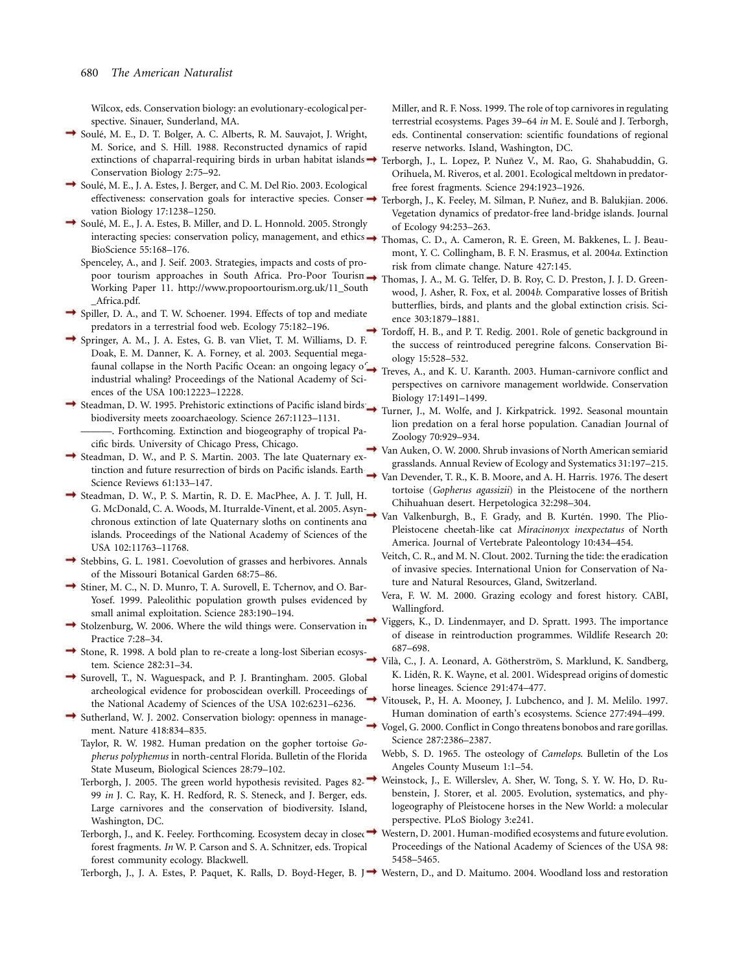Wilcox, eds. Conservation biology: an evolutionary-ecological perspective. Sinauer, Sunderland, MA.

- Soulé, M. E., D. T. Bolger, A. C. Alberts, R. M. Sauvajot, J. Wright, M. Sorice, and S. Hill. 1988. Reconstructed dynamics of rapid extinctions of chaparral-requiring birds in urban habitat islands + Terborgh, J., L. Lopez, P. Nuñez V., M. Rao, G. Shahabuddin, G. Conservation Biology 2:75–92.
- Soulé, M. E., J. A. Estes, J. Berger, and C. M. Del Rio. 2003. Ecological effectiveness: conservation goals for interactive species. Conser  $\rightarrow$  Terborgh, J., K. Feeley, M. Silman, P. Nuñez, and B. Balukjian. 2006. vation Biology 17:1238–1250.
- Soulé, M. E., J. A. Estes, B. Miller, and D. L. Honnold. 2005. Strongly interacting species: conservation policy, management, and ethics  $\rightarrow$  Thomas, C. D., A. Cameron, R. E. Green, M. Bakkenes, L. J. Beau-BioScience 55:168–176.
	- Spenceley, A., and J. Seif. 2003. Strategies, impacts and costs of propoor tourism approaches in South Africa. Pro-Poor Tourism + Thomas, J. A., M. G. Telfer, D. B. Roy, C. D. Preston, J. J. D. Green-Working Paper 11. http://www.propoortourism.org.uk/11\_South \_Africa.pdf.
- Spiller, D. A., and T. W. Schoener. 1994. Effects of top and mediate predators in a terrestrial food web. Ecology 75:182–196.
- Springer, A. M., J. A. Estes, G. B. van Vliet, T. M. Williams, D. F. Doak, E. M. Danner, K. A. Forney, et al. 2003. Sequential mega- $F_{\text{total}}$  E. M. Danner, K. A. Forney, et al. 2009. Sequential inega-<br>faunal collapse in the North Pacific Ocean: an ongoing legacy of  $T_{\text{source}}$  A and K. H industrial whaling? Proceedings of the National Academy of Sciences of the USA 100:12223–12228.
- Steadman, D. W. 1995. Prehistoric extinctions of Pacific island birds: Steadman, D. W. 1995. Prehistoric extinctions of Pacific island birds: biodiversity meets zooarchaeology. Science 267:1123–1131. -. Forthcoming. Extinction and biogeography of tropical Pacific birds. University of Chicago Press, Chicago.
- Steadman, D. W., and P. S. Martin. 2003. The late Quaternary extinction and future resurrection of birds on Pacific islands. Earth-Science Reviews 61:133–147.
- Steadman, D. W., P. S. Martin, R. D. E. MacPhee, A. J. T. Jull, H. G. McDonald, C. A. Woods, M. Iturralde-Vinent, et al. 2005. Asynchronous extinction of late Quaternary sloths on continents and islands. Proceedings of the National Academy of Sciences of the USA 102:11763–11768.
- Stebbins, G. L. 1981. Coevolution of grasses and herbivores. Annals of the Missouri Botanical Garden 68:75–86.
- Stiner, M. C., N. D. Munro, T. A. Surovell, E. Tchernov, and O. Bar-Yosef. 1999. Paleolithic population growth pulses evidenced by small animal exploitation. Science 283:190–194.
- Stolzenburg, W. 2006. Where the wild things were. Conservation in Practice 7:28–34.
- Stone, R. 1998. A bold plan to re-create a long-lost Siberian ecosystem. Science 282:31–34.
- Surovell, T., N. Waguespack, and P. J. Brantingham. 2005. Global archeological evidence for proboscidean overkill. Proceedings of the National Academy of Sciences of the USA 102:6231–6236.
- Sutherland, W. J. 2002. Conservation biology: openness in management. Nature 418:834–835.
	- Taylor, R. W. 1982. Human predation on the gopher tortoise *Gopherus polyphemus* in north-central Florida. Bulletin of the Florida State Museum, Biological Sciences 28:79–102.
	- Terborgh, J. 2005. The green world hypothesis revisited. Pages 82– 99 *in* J. C. Ray, K. H. Redford, R. S. Steneck, and J. Berger, eds. Large carnivores and the conservation of biodiversity. Island, Washington, DC.
	- Terborgh, J., and K. Feeley. Forthcoming. Ecosystem decay in closed. forest fragments. *In* W. P. Carson and S. A. Schnitzer, eds. Tropical forest community ecology. Blackwell.

Miller, and R. F. Noss. 1999. The role of top carnivores in regulating terrestrial ecosystems. Pages 39–64 *in* M. E. Soule´ and J. Terborgh, eds. Continental conservation: scientific foundations of regional reserve networks. Island, Washington, DC.

- Orihuela, M. Riveros, et al. 2001. Ecological meltdown in predatorfree forest fragments. Science 294:1923–1926.
- Vegetation dynamics of predator-free land-bridge islands. Journal of Ecology 94:253–263.
- mont, Y. C. Collingham, B. F. N. Erasmus, et al. 2004*a*. Extinction risk from climate change. Nature 427:145.
- wood, J. Asher, R. Fox, et al. 2004*b*. Comparative losses of British butterflies, birds, and plants and the global extinction crisis. Science 303:1879–1881.
- Tordoff, H. B., and P. T. Redig. 2001. Role of genetic background in the success of reintroduced peregrine falcons. Conservation Bi-
- Treves, A., and K. U. Karanth. 2003. Human-carnivore conflict and perspectives on carnivore management worldwide. Conservation
- Turner, J., M. Wolfe, and J. Kirkpatrick. 1992. Seasonal mountain lion predation on a feral horse population. Canadian Journal of Zoology 70:929–934.
- Van Auken, O. W. 2000. Shrub invasions of North American semiarid grasslands. Annual Review of Ecology and Systematics 31:197–215.
- Van Devender, T. R., K. B. Moore, and A. H. Harris. 1976. The desert tortoise (*Gopherus agassizii*) in the Pleistocene of the northern Chihuahuan desert. Herpetologica 32:298–304.
- Van Valkenburgh, B., F. Grady, and B. Kurtén. 1990. The Plio-Pleistocene cheetah-like cat *Miracinonyx inexpectatus* of North America. Journal of Vertebrate Paleontology 10:434–454.
- Veitch, C. R., and M. N. Clout. 2002. Turning the tide: the eradication of invasive species. International Union for Conservation of Nature and Natural Resources, Gland, Switzerland.
- Vera, F. W. M. 2000. Grazing ecology and forest history. CABI, Wallingford.
- Viggers, K., D. Lindenmayer, and D. Spratt. 1993. The importance of disease in reintroduction programmes. Wildlife Research 20: 687–698.
- Vilà, C., J. A. Leonard, A. Götherström, S. Marklund, K. Sandberg, K. Lidén, R. K. Wayne, et al. 2001. Widespread origins of domestic horse lineages. Science 291:474–477.
- Vitousek, P., H. A. Mooney, J. Lubchenco, and J. M. Melilo. 1997. Human domination of earth's ecosystems. Science 277:494–499.
- Vogel, G. 2000. Conflict in Congo threatens bonobos and rare gorillas. Science 287:2386–2387.
- Webb, S. D. 1965. The osteology of *Camelops*. Bulletin of the Los Angeles County Museum 1:1–54.
- Weinstock, J., E. Willerslev, A. Sher, W. Tong, S. Y. W. Ho, D. Rubenstein, J. Storer, et al. 2005. Evolution, systematics, and phylogeography of Pleistocene horses in the New World: a molecular perspective. PLoS Biology 3:e241.
	- Western, D. 2001. Human-modified ecosystems and future evolution. Proceedings of the National Academy of Sciences of the USA 98: 5458–5465.

Terborgh, J., J. A. Estes, P. Paquet, K. Ralls, D. Boyd-Heger, B. J. Western, D., and D. Maitumo. 2004. Woodland loss and restoration